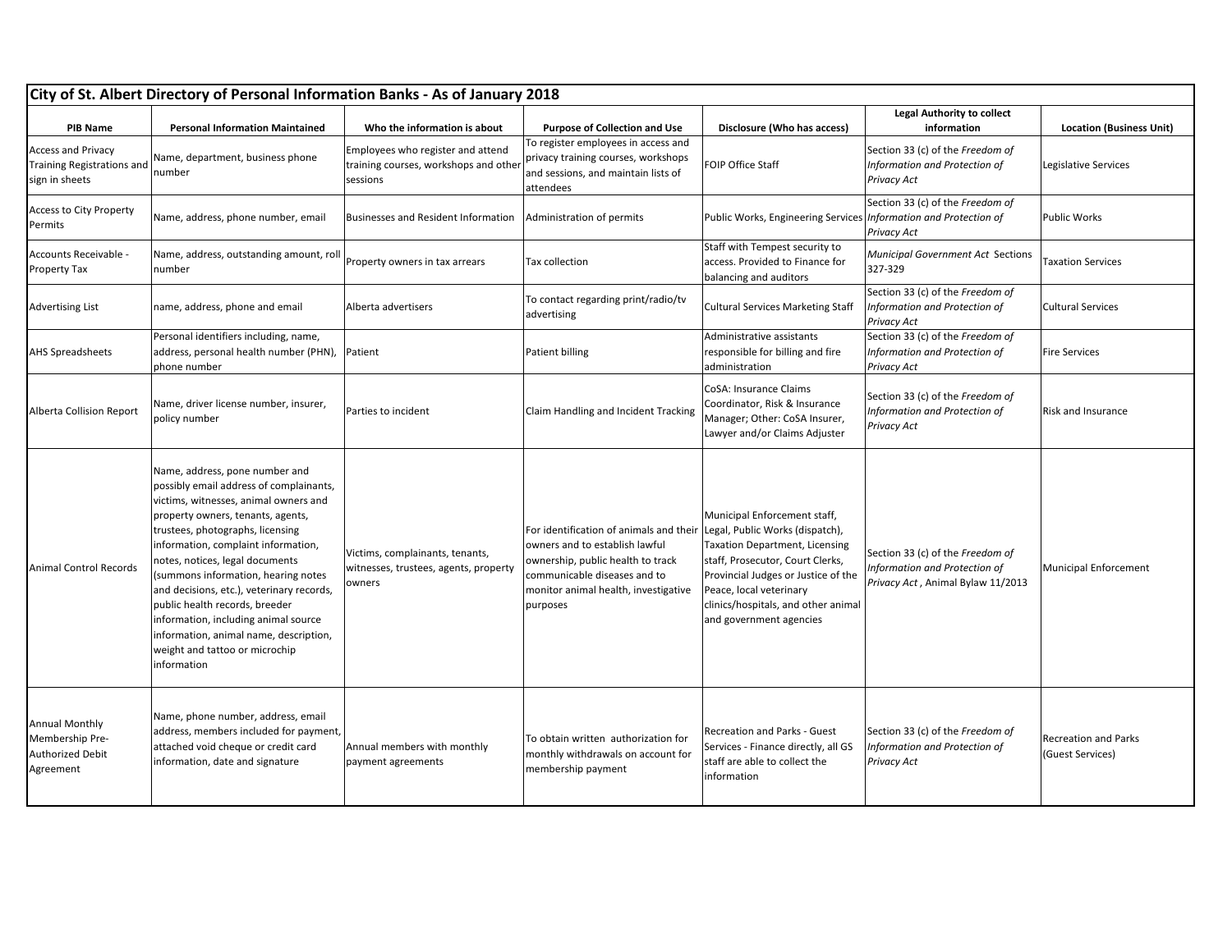| <b>PIB Name</b>                                                                  | <b>Personal Information Maintained</b>                                                                                                                                                                                                                                                                                                                                                                                                                                                                                         | Who the information is about                                                           | <b>Purpose of Collection and Use</b>                                                                                                                                                               | Disclosure (Who has access)                                                                                                                                                                                                                                                      | <b>Legal Authority to collect</b><br>information                                                       | <b>Location (Business Unit)</b>          |
|----------------------------------------------------------------------------------|--------------------------------------------------------------------------------------------------------------------------------------------------------------------------------------------------------------------------------------------------------------------------------------------------------------------------------------------------------------------------------------------------------------------------------------------------------------------------------------------------------------------------------|----------------------------------------------------------------------------------------|----------------------------------------------------------------------------------------------------------------------------------------------------------------------------------------------------|----------------------------------------------------------------------------------------------------------------------------------------------------------------------------------------------------------------------------------------------------------------------------------|--------------------------------------------------------------------------------------------------------|------------------------------------------|
| <b>Access and Privacy</b><br><b>Training Registrations and</b><br>sign in sheets | Name, department, business phone<br>number                                                                                                                                                                                                                                                                                                                                                                                                                                                                                     | Employees who register and attend<br>training courses, workshops and other<br>sessions | To register employees in access and<br>privacy training courses, workshops<br>and sessions, and maintain lists of<br>attendees                                                                     | FOIP Office Staff                                                                                                                                                                                                                                                                | Section 33 (c) of the Freedom of<br>Information and Protection of<br>Privacy Act                       | Legislative Services                     |
| <b>Access to City Property</b><br>Permits                                        | Name, address, phone number, email                                                                                                                                                                                                                                                                                                                                                                                                                                                                                             | Businesses and Resident Information                                                    | Administration of permits                                                                                                                                                                          | Public Works, Engineering Services   Information and Protection of                                                                                                                                                                                                               | Section 33 (c) of the Freedom of<br>Privacy Act                                                        | Public Works                             |
| Accounts Receivable -<br><b>Property Tax</b>                                     | Name, address, outstanding amount, roll<br>number                                                                                                                                                                                                                                                                                                                                                                                                                                                                              | Property owners in tax arrears                                                         | Tax collection                                                                                                                                                                                     | Staff with Tempest security to<br>access. Provided to Finance for<br>balancing and auditors                                                                                                                                                                                      | <b>Municipal Government Act Sections</b><br>327-329                                                    | <b>Taxation Services</b>                 |
| <b>Advertising List</b>                                                          | name, address, phone and email                                                                                                                                                                                                                                                                                                                                                                                                                                                                                                 | Alberta advertisers                                                                    | To contact regarding print/radio/tv<br>advertising                                                                                                                                                 | <b>Cultural Services Marketing Staff</b>                                                                                                                                                                                                                                         | Section 33 (c) of the Freedom of<br>Information and Protection of<br>Privacy Act                       | <b>Cultural Services</b>                 |
| <b>AHS Spreadsheets</b>                                                          | Personal identifiers including, name,<br>address, personal health number (PHN),<br>phone number                                                                                                                                                                                                                                                                                                                                                                                                                                | Patient                                                                                | Patient billing                                                                                                                                                                                    | Administrative assistants<br>responsible for billing and fire<br>administration                                                                                                                                                                                                  | Section 33 (c) of the Freedom of<br>Information and Protection of<br>Privacy Act                       | <b>Fire Services</b>                     |
| <b>Alberta Collision Report</b>                                                  | Name, driver license number, insurer,<br>policy number                                                                                                                                                                                                                                                                                                                                                                                                                                                                         | Parties to incident                                                                    | Claim Handling and Incident Tracking                                                                                                                                                               | CoSA: Insurance Claims<br>Coordinator, Risk & Insurance<br>Manager; Other: CoSA Insurer,<br>Lawyer and/or Claims Adjuster                                                                                                                                                        | Section 33 (c) of the Freedom of<br>Information and Protection of<br>Privacy Act                       | <b>Risk and Insurance</b>                |
| <b>Animal Control Records</b>                                                    | Name, address, pone number and<br>possibly email address of complainants,<br>victims, witnesses, animal owners and<br>property owners, tenants, agents,<br>trustees, photographs, licensing<br>information, complaint information,<br>notes, notices, legal documents<br>(summons information, hearing notes<br>and decisions, etc.), veterinary records,<br>public health records, breeder<br>information, including animal source<br>information, animal name, description,<br>weight and tattoo or microchip<br>information | Victims, complainants, tenants,<br>witnesses, trustees, agents, property<br>owners     | For identification of animals and their<br>owners and to establish lawful<br>ownership, public health to track<br>communicable diseases and to<br>monitor animal health, investigative<br>purposes | Municipal Enforcement staff,<br>Legal, Public Works (dispatch),<br><b>Taxation Department, Licensing</b><br>staff, Prosecutor, Court Clerks,<br>Provincial Judges or Justice of the<br>Peace, local veterinary<br>clinics/hospitals, and other animal<br>and government agencies | Section 33 (c) of the Freedom of<br>Information and Protection of<br>Privacy Act, Animal Bylaw 11/2013 | Municipal Enforcement                    |
| <b>Annual Monthly</b><br>Membership Pre-<br><b>Authorized Debit</b><br>Agreement | Name, phone number, address, email<br>address, members included for payment,<br>attached void cheque or credit card<br>information, date and signature                                                                                                                                                                                                                                                                                                                                                                         | Annual members with monthly<br>payment agreements                                      | To obtain written authorization for<br>monthly withdrawals on account for<br>membership payment                                                                                                    | Recreation and Parks - Guest<br>Services - Finance directly, all GS<br>staff are able to collect the<br>information                                                                                                                                                              | Section 33 (c) of the Freedom of<br>Information and Protection of<br>Privacy Act                       | Recreation and Parks<br>(Guest Services) |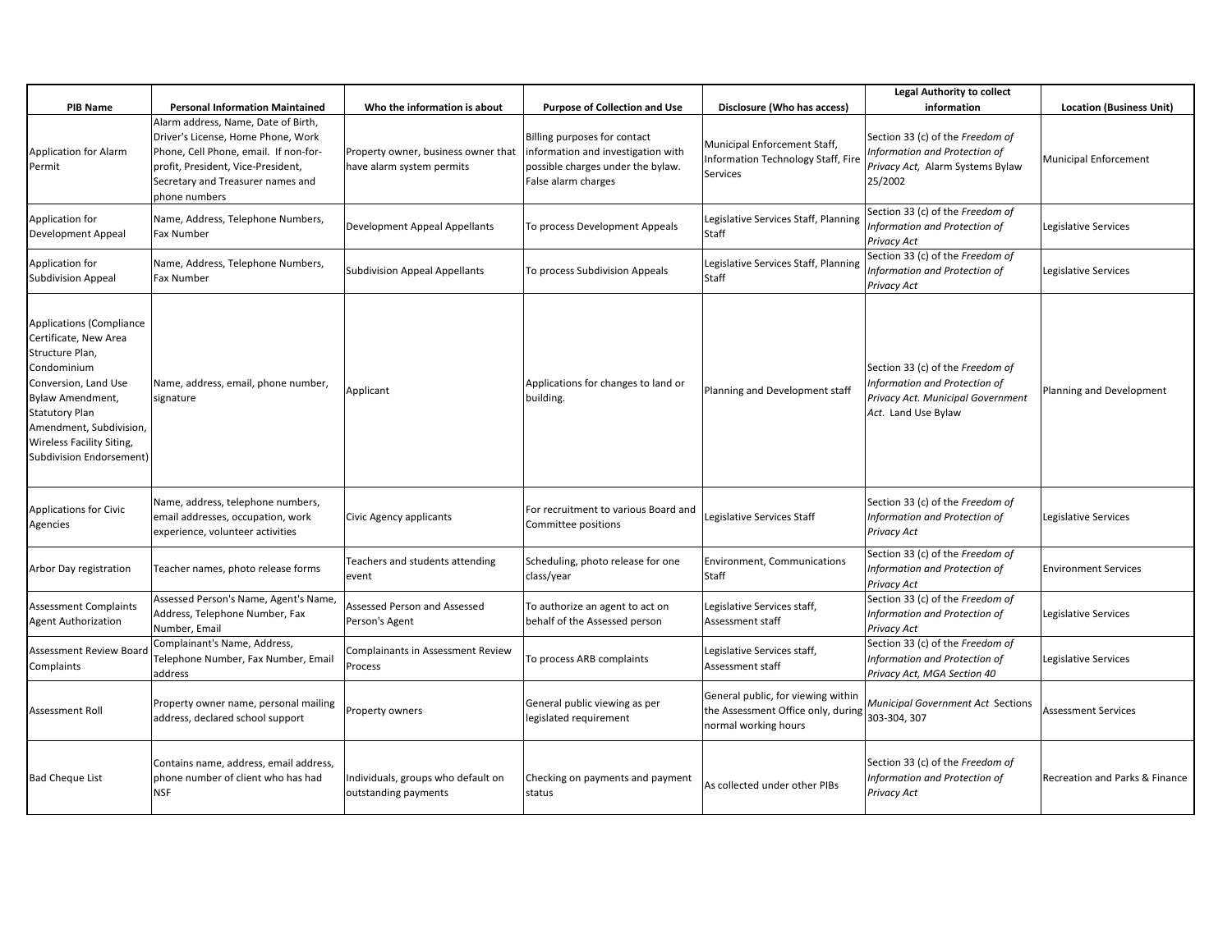|                                                                                                                                                                                                                                                                   |                                                                                                                                                                                                                |                                                                  |                                                                                                                                |                                                                                                               | <b>Legal Authority to collect</b>                                                                                             |                                 |
|-------------------------------------------------------------------------------------------------------------------------------------------------------------------------------------------------------------------------------------------------------------------|----------------------------------------------------------------------------------------------------------------------------------------------------------------------------------------------------------------|------------------------------------------------------------------|--------------------------------------------------------------------------------------------------------------------------------|---------------------------------------------------------------------------------------------------------------|-------------------------------------------------------------------------------------------------------------------------------|---------------------------------|
| <b>PIB Name</b>                                                                                                                                                                                                                                                   | <b>Personal Information Maintained</b>                                                                                                                                                                         | Who the information is about                                     | <b>Purpose of Collection and Use</b>                                                                                           | Disclosure (Who has access)                                                                                   | information                                                                                                                   | <b>Location (Business Unit)</b> |
| <b>Application for Alarm</b><br>Permit                                                                                                                                                                                                                            | Alarm address, Name, Date of Birth,<br>Driver's License, Home Phone, Work<br>Phone, Cell Phone, email. If non-for-<br>profit, President, Vice-President,<br>Secretary and Treasurer names and<br>phone numbers | Property owner, business owner that<br>have alarm system permits | Billing purposes for contact<br>information and investigation with<br>possible charges under the bylaw.<br>False alarm charges | Municipal Enforcement Staff,<br><b>Information Technology Staff, Fire</b><br><b>Services</b>                  | Section 33 (c) of the Freedom of<br>Information and Protection of<br>Privacy Act, Alarm Systems Bylaw<br>25/2002              | <b>Municipal Enforcement</b>    |
| Application for<br><b>Development Appeal</b>                                                                                                                                                                                                                      | Name, Address, Telephone Numbers,<br>Fax Number                                                                                                                                                                | Development Appeal Appellants                                    | To process Development Appeals                                                                                                 | Legislative Services Staff, Planning<br><b>Staff</b>                                                          | Section 33 (c) of the Freedom of<br>Information and Protection of<br>Privacy Act                                              | Legislative Services            |
| Application for<br><b>Subdivision Appeal</b>                                                                                                                                                                                                                      | Name, Address, Telephone Numbers,<br>Fax Number                                                                                                                                                                | <b>Subdivision Appeal Appellants</b>                             | To process Subdivision Appeals                                                                                                 | Legislative Services Staff, Planning<br>Staff                                                                 | Section 33 (c) of the Freedom of<br>Information and Protection of<br>Privacy Act                                              | Legislative Services            |
| Applications (Compliance<br>Certificate, New Area<br>Structure Plan,<br>Condominium<br>Conversion, Land Use<br><b>Bylaw Amendment,</b><br><b>Statutory Plan</b><br>Amendment, Subdivision,<br><b>Wireless Facility Siting,</b><br><b>Subdivision Endorsement)</b> | Name, address, email, phone number,<br>signature                                                                                                                                                               | Applicant                                                        | Applications for changes to land or<br>building.                                                                               | Planning and Development staff                                                                                | Section 33 (c) of the Freedom of<br>Information and Protection of<br>Privacy Act. Municipal Government<br>Act. Land Use Bylaw | Planning and Development        |
| <b>Applications for Civic</b><br>Agencies                                                                                                                                                                                                                         | Name, address, telephone numbers,<br>email addresses, occupation, work<br>experience, volunteer activities                                                                                                     | Civic Agency applicants                                          | For recruitment to various Board and<br>Committee positions                                                                    | Legislative Services Staff                                                                                    | Section 33 (c) of the Freedom of<br>Information and Protection of<br>Privacy Act                                              | Legislative Services            |
| Arbor Day registration                                                                                                                                                                                                                                            | Teacher names, photo release forms                                                                                                                                                                             | Teachers and students attending<br>event                         | Scheduling, photo release for one<br>class/year                                                                                | <b>Environment, Communications</b><br>Staff                                                                   | Section 33 (c) of the Freedom of<br>Information and Protection of<br><b>Privacy Act</b>                                       | <b>Environment Services</b>     |
| <b>Assessment Complaints</b><br><b>Agent Authorization</b>                                                                                                                                                                                                        | Assessed Person's Name, Agent's Name,<br>Address, Telephone Number, Fax<br>Number, Email                                                                                                                       | Assessed Person and Assessed<br>Person's Agent                   | To authorize an agent to act on<br>behalf of the Assessed person                                                               | Legislative Services staff,<br>Assessment staff                                                               | Section 33 (c) of the Freedom of<br>Information and Protection of<br><b>Privacy Act</b>                                       | Legislative Services            |
| Assessment Review Board<br>Complaints                                                                                                                                                                                                                             | Complainant's Name, Address,<br>Telephone Number, Fax Number, Email<br>address                                                                                                                                 | Complainants in Assessment Review<br>Process                     | To process ARB complaints                                                                                                      | Legislative Services staff,<br>Assessment staff                                                               | Section 33 (c) of the Freedom of<br>Information and Protection of<br>Privacy Act, MGA Section 40                              | Legislative Services            |
| <b>Assessment Roll</b>                                                                                                                                                                                                                                            | Property owner name, personal mailing<br>address, declared school support                                                                                                                                      | Property owners                                                  | General public viewing as per<br>legislated requirement                                                                        | General public, for viewing within<br>the Assessment Office only, during 303-304, 307<br>normal working hours | Municipal Government Act Sections                                                                                             | <b>Assessment Services</b>      |
| <b>Bad Cheque List</b>                                                                                                                                                                                                                                            | Contains name, address, email address,<br>phone number of client who has had<br><b>NSF</b>                                                                                                                     | Individuals, groups who default on<br>outstanding payments       | Checking on payments and payment<br>status                                                                                     | As collected under other PIBs                                                                                 | Section 33 (c) of the Freedom of<br>Information and Protection of<br>Privacy Act                                              | Recreation and Parks & Finance  |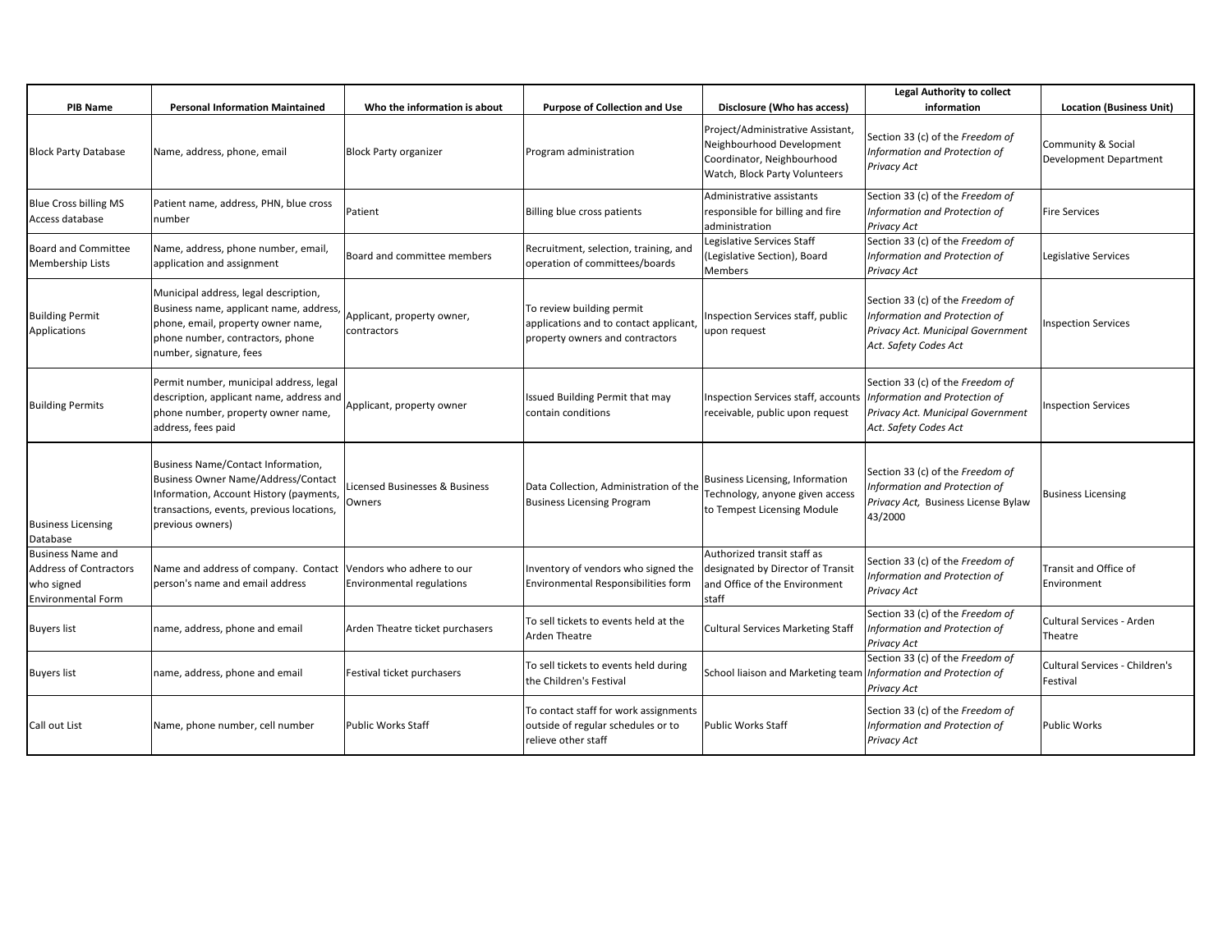|                                                                                                      |                                                                                                                                                                                              |                                                        |                                                                                                        |                                                                                                                               | <b>Legal Authority to collect</b>                                                                                               |                                              |
|------------------------------------------------------------------------------------------------------|----------------------------------------------------------------------------------------------------------------------------------------------------------------------------------------------|--------------------------------------------------------|--------------------------------------------------------------------------------------------------------|-------------------------------------------------------------------------------------------------------------------------------|---------------------------------------------------------------------------------------------------------------------------------|----------------------------------------------|
| <b>PIB Name</b>                                                                                      | <b>Personal Information Maintained</b>                                                                                                                                                       | Who the information is about                           | <b>Purpose of Collection and Use</b>                                                                   | Disclosure (Who has access)                                                                                                   | information                                                                                                                     | <b>Location (Business Unit)</b>              |
| <b>Block Party Database</b>                                                                          | Name, address, phone, email                                                                                                                                                                  | <b>Block Party organizer</b>                           | Program administration                                                                                 | Project/Administrative Assistant,<br>Neighbourhood Development<br>Coordinator, Neighbourhood<br>Watch, Block Party Volunteers | Section 33 (c) of the Freedom of<br>Information and Protection of<br>Privacy Act                                                | Community & Social<br>Development Department |
| <b>Blue Cross billing MS</b><br>Access database                                                      | Patient name, address, PHN, blue cross<br>number                                                                                                                                             | Patient                                                | Billing blue cross patients                                                                            | Administrative assistants<br>responsible for billing and fire<br>administration                                               | Section 33 (c) of the Freedom of<br>Information and Protection of<br>Privacy Act                                                | <b>Fire Services</b>                         |
| <b>Board and Committee</b><br><b>Membership Lists</b>                                                | Name, address, phone number, email,<br>application and assignment                                                                                                                            | Board and committee members                            | Recruitment, selection, training, and<br>operation of committees/boards                                | Legislative Services Staff<br>(Legislative Section), Board<br>Members                                                         | Section 33 (c) of the Freedom of<br>Information and Protection of<br>Privacy Act                                                | Legislative Services                         |
| <b>Building Permit</b><br>Applications                                                               | Municipal address, legal description,<br>Business name, applicant name, address,<br>phone, email, property owner name,<br>phone number, contractors, phone<br>number, signature, fees        | Applicant, property owner,<br>contractors              | To review building permit<br>applications and to contact applicant,<br>property owners and contractors | Inspection Services staff, public<br>upon request                                                                             | Section 33 (c) of the Freedom of<br>Information and Protection of<br>Privacy Act. Municipal Government<br>Act. Safety Codes Act | <b>Inspection Services</b>                   |
| <b>Building Permits</b>                                                                              | Permit number, municipal address, legal<br>description, applicant name, address and<br>phone number, property owner name,<br>address, fees paid                                              | Applicant, property owner                              | Issued Building Permit that may<br>contain conditions                                                  | Inspection Services staff, accounts<br>receivable, public upon request                                                        | Section 33 (c) of the Freedom of<br>Information and Protection of<br>Privacy Act. Municipal Government<br>Act. Safety Codes Act | <b>Inspection Services</b>                   |
| <b>Business Licensing</b><br>Database                                                                | Business Name/Contact Information,<br><b>Business Owner Name/Address/Contact</b><br>Information, Account History (payments,<br>transactions, events, previous locations,<br>previous owners) | Licensed Businesses & Business<br>Owners               | Data Collection, Administration of the<br><b>Business Licensing Program</b>                            | Business Licensing, Information<br>Technology, anyone given access<br>to Tempest Licensing Module                             | Section 33 (c) of the Freedom of<br>Information and Protection of<br>Privacy Act, Business License Bylaw<br>43/2000             | <b>Business Licensing</b>                    |
| <b>Business Name and</b><br><b>Address of Contractors</b><br>who signed<br><b>Environmental Form</b> | Name and address of company. Contact<br>person's name and email address                                                                                                                      | Vendors who adhere to our<br>Environmental regulations | Inventory of vendors who signed the<br>Environmental Responsibilities form                             | Authorized transit staff as<br>designated by Director of Transit<br>and Office of the Environment<br>staff                    | Section 33 (c) of the Freedom of<br>Information and Protection of<br>Privacy Act                                                | Transit and Office of<br>Environment         |
| <b>Buyers list</b>                                                                                   | name, address, phone and email                                                                                                                                                               | Arden Theatre ticket purchasers                        | To sell tickets to events held at the<br>Arden Theatre                                                 | <b>Cultural Services Marketing Staff</b>                                                                                      | Section 33 (c) of the Freedom of<br>Information and Protection of<br>Privacy Act                                                | Cultural Services - Arden<br>Theatre         |
| <b>Buyers list</b>                                                                                   | name, address, phone and email                                                                                                                                                               | Festival ticket purchasers                             | To sell tickets to events held during<br>the Children's Festival                                       | School liaison and Marketing team                                                                                             | Section 33 (c) of the Freedom of<br>Information and Protection of<br>Privacy Act                                                | Cultural Services - Children's<br>Festival   |
| Call out List                                                                                        | Name, phone number, cell number                                                                                                                                                              | Public Works Staff                                     | To contact staff for work assignments<br>outside of regular schedules or to<br>relieve other staff     | <b>Public Works Staff</b>                                                                                                     | Section 33 (c) of the Freedom of<br>Information and Protection of<br>Privacy Act                                                | <b>Public Works</b>                          |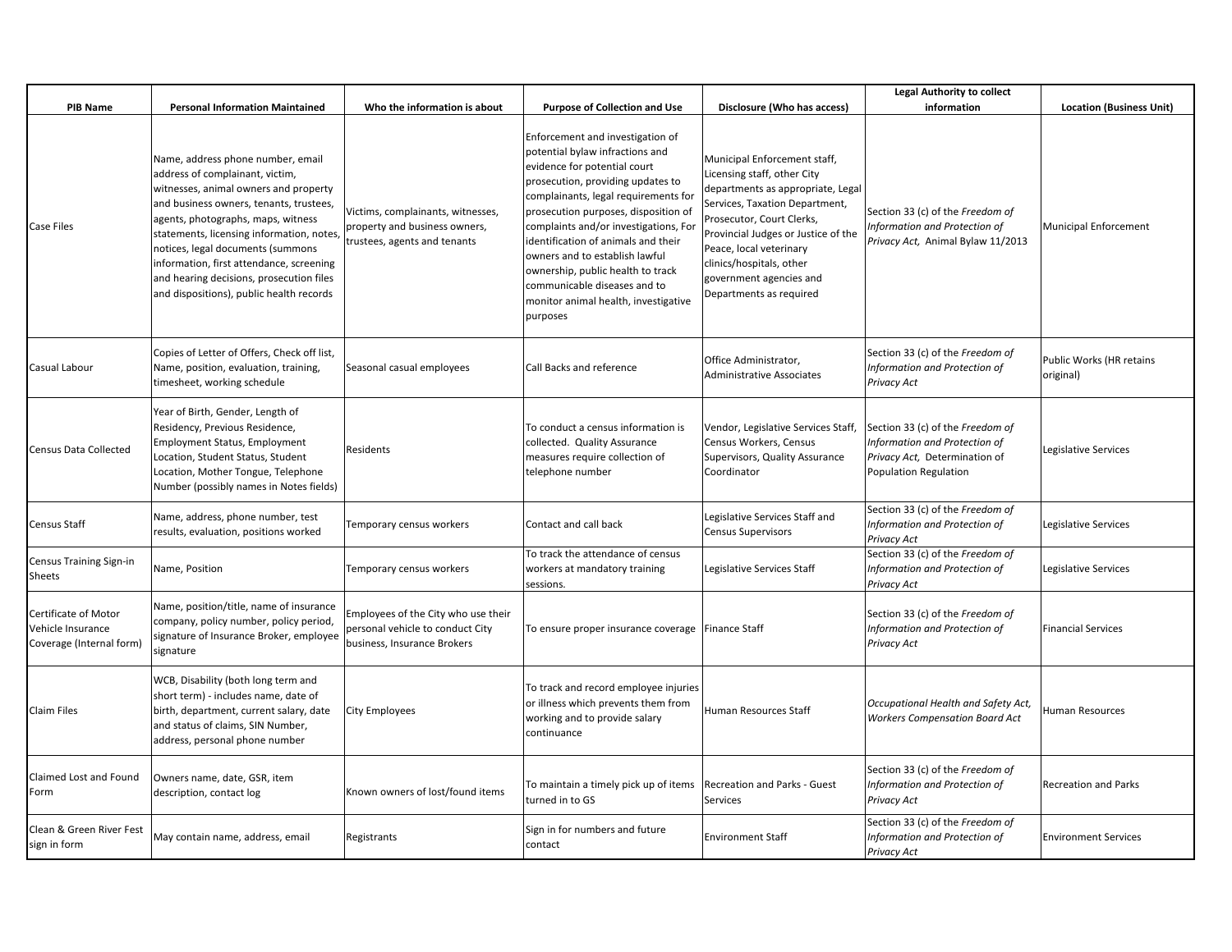|                                                                       |                                                                                                                                                                                                                                                                                                                                                                                                                      |                                                                                                        |                                                                                                                                                                                                                                                                                                                                                                                                                                                                     |                                                                                                                                                                                                                                                                                                                     | <b>Legal Authority to collect</b>                                                                                           |                                       |
|-----------------------------------------------------------------------|----------------------------------------------------------------------------------------------------------------------------------------------------------------------------------------------------------------------------------------------------------------------------------------------------------------------------------------------------------------------------------------------------------------------|--------------------------------------------------------------------------------------------------------|---------------------------------------------------------------------------------------------------------------------------------------------------------------------------------------------------------------------------------------------------------------------------------------------------------------------------------------------------------------------------------------------------------------------------------------------------------------------|---------------------------------------------------------------------------------------------------------------------------------------------------------------------------------------------------------------------------------------------------------------------------------------------------------------------|-----------------------------------------------------------------------------------------------------------------------------|---------------------------------------|
| <b>PIB Name</b>                                                       | <b>Personal Information Maintained</b>                                                                                                                                                                                                                                                                                                                                                                               | Who the information is about                                                                           | <b>Purpose of Collection and Use</b>                                                                                                                                                                                                                                                                                                                                                                                                                                | Disclosure (Who has access)                                                                                                                                                                                                                                                                                         | information                                                                                                                 | <b>Location (Business Unit)</b>       |
| <b>Case Files</b>                                                     | Name, address phone number, email<br>address of complainant, victim,<br>witnesses, animal owners and property<br>and business owners, tenants, trustees,<br>agents, photographs, maps, witness<br>statements, licensing information, notes,<br>notices, legal documents (summons<br>information, first attendance, screening<br>and hearing decisions, prosecution files<br>and dispositions), public health records | Victims, complainants, witnesses,<br>property and business owners,<br>trustees, agents and tenants     | Enforcement and investigation of<br>potential bylaw infractions and<br>evidence for potential court<br>prosecution, providing updates to<br>complainants, legal requirements for<br>prosecution purposes, disposition of<br>complaints and/or investigations, For<br>identification of animals and their<br>owners and to establish lawful<br>ownership, public health to track<br>communicable diseases and to<br>monitor animal health, investigative<br>purposes | Municipal Enforcement staff,<br>Licensing staff, other City<br>departments as appropriate, Legal<br>Services, Taxation Department,<br>Prosecutor, Court Clerks,<br>Provincial Judges or Justice of the<br>Peace, local veterinary<br>clinics/hospitals, other<br>government agencies and<br>Departments as required | Section 33 (c) of the Freedom of<br>Information and Protection of<br>Privacy Act, Animal Bylaw 11/2013                      | <b>Municipal Enforcement</b>          |
| Casual Labour                                                         | Copies of Letter of Offers, Check off list,<br>Name, position, evaluation, training,<br>timesheet, working schedule                                                                                                                                                                                                                                                                                                  | Seasonal casual employees                                                                              | Call Backs and reference                                                                                                                                                                                                                                                                                                                                                                                                                                            | Office Administrator,<br><b>Administrative Associates</b>                                                                                                                                                                                                                                                           | Section 33 (c) of the Freedom of<br>Information and Protection of<br>Privacy Act                                            | Public Works (HR retains<br>original) |
| <b>Census Data Collected</b>                                          | Year of Birth, Gender, Length of<br>Residency, Previous Residence,<br><b>Employment Status, Employment</b><br>Location, Student Status, Student<br>Location, Mother Tongue, Telephone<br>Number (possibly names in Notes fields)                                                                                                                                                                                     | Residents                                                                                              | To conduct a census information is<br>collected. Quality Assurance<br>measures require collection of<br>telephone number                                                                                                                                                                                                                                                                                                                                            | Vendor, Legislative Services Staff,<br>Census Workers, Census<br>Supervisors, Quality Assurance<br>Coordinator                                                                                                                                                                                                      | Section 33 (c) of the Freedom of<br>Information and Protection of<br>Privacy Act, Determination of<br>Population Regulation | Legislative Services                  |
| Census Staff                                                          | Name, address, phone number, test<br>results, evaluation, positions worked                                                                                                                                                                                                                                                                                                                                           | Temporary census workers                                                                               | Contact and call back                                                                                                                                                                                                                                                                                                                                                                                                                                               | Legislative Services Staff and<br><b>Census Supervisors</b>                                                                                                                                                                                                                                                         | Section 33 (c) of the Freedom of<br>Information and Protection of<br>Privacy Act                                            | Legislative Services                  |
| Census Training Sign-in<br>Sheets                                     | Name, Position                                                                                                                                                                                                                                                                                                                                                                                                       | Temporary census workers                                                                               | To track the attendance of census<br>workers at mandatory training<br>sessions.                                                                                                                                                                                                                                                                                                                                                                                     | Legislative Services Staff                                                                                                                                                                                                                                                                                          | Section 33 (c) of the Freedom of<br>Information and Protection of<br>Privacy Act                                            | Legislative Services                  |
| Certificate of Motor<br>Vehicle Insurance<br>Coverage (Internal form) | Name, position/title, name of insurance<br>company, policy number, policy period,<br>signature of Insurance Broker, employee<br>signature                                                                                                                                                                                                                                                                            | Employees of the City who use their<br>personal vehicle to conduct City<br>business, Insurance Brokers | To ensure proper insurance coverage Finance Staff                                                                                                                                                                                                                                                                                                                                                                                                                   |                                                                                                                                                                                                                                                                                                                     | Section 33 (c) of the Freedom of<br>Information and Protection of<br>Privacy Act                                            | <b>Financial Services</b>             |
| Claim Files                                                           | WCB, Disability (both long term and<br>short term) - includes name, date of<br>birth, department, current salary, date<br>and status of claims, SIN Number,<br>address, personal phone number                                                                                                                                                                                                                        | City Employees                                                                                         | To track and record employee injuries<br>or illness which prevents them from<br>working and to provide salary<br>continuance                                                                                                                                                                                                                                                                                                                                        | Human Resources Staff                                                                                                                                                                                                                                                                                               | Occupational Health and Safety Act,<br><b>Workers Compensation Board Act</b>                                                | Human Resources                       |
| Claimed Lost and Found<br>Form                                        | Owners name, date, GSR, item<br>description, contact log                                                                                                                                                                                                                                                                                                                                                             | Known owners of lost/found items                                                                       | To maintain a timely pick up of items<br>turned in to GS                                                                                                                                                                                                                                                                                                                                                                                                            | Recreation and Parks - Guest<br>Services                                                                                                                                                                                                                                                                            | Section 33 (c) of the Freedom of<br>Information and Protection of<br>Privacy Act                                            | <b>Recreation and Parks</b>           |
| Clean & Green River Fest<br>sign in form                              | May contain name, address, email                                                                                                                                                                                                                                                                                                                                                                                     | Registrants                                                                                            | Sign in for numbers and future<br>contact                                                                                                                                                                                                                                                                                                                                                                                                                           | <b>Environment Staff</b>                                                                                                                                                                                                                                                                                            | Section 33 (c) of the Freedom of<br>Information and Protection of<br>Privacy Act                                            | <b>Environment Services</b>           |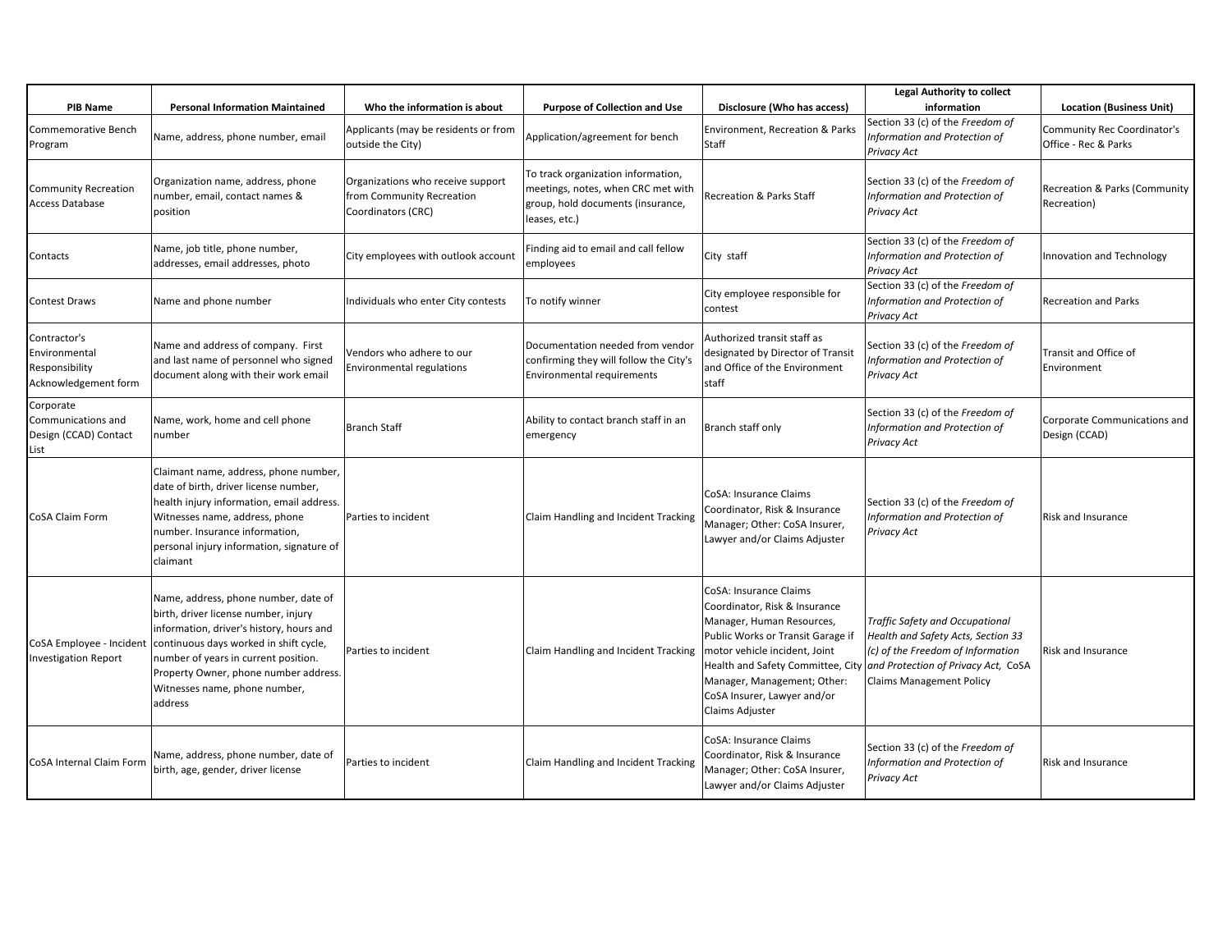| <b>PIB Name</b>                                                         | <b>Personal Information Maintained</b>                                                                                                                                                                                                                                                          | Who the information is about                                                         | <b>Purpose of Collection and Use</b>                                                                                           | Disclosure (Who has access)                                                                                                                                                                                                                                                      | <b>Legal Authority to collect</b><br>information                                                                                                                                     | <b>Location (Business Unit)</b>                     |
|-------------------------------------------------------------------------|-------------------------------------------------------------------------------------------------------------------------------------------------------------------------------------------------------------------------------------------------------------------------------------------------|--------------------------------------------------------------------------------------|--------------------------------------------------------------------------------------------------------------------------------|----------------------------------------------------------------------------------------------------------------------------------------------------------------------------------------------------------------------------------------------------------------------------------|--------------------------------------------------------------------------------------------------------------------------------------------------------------------------------------|-----------------------------------------------------|
| Commemorative Bench<br>Program                                          | Name, address, phone number, email                                                                                                                                                                                                                                                              | Applicants (may be residents or from<br>outside the City)                            | Application/agreement for bench                                                                                                | Environment, Recreation & Parks<br>Staff                                                                                                                                                                                                                                         | Section 33 (c) of the Freedom of<br>Information and Protection of<br>Privacy Act                                                                                                     | Community Rec Coordinator's<br>Office - Rec & Parks |
| <b>Community Recreation</b><br><b>Access Database</b>                   | Organization name, address, phone<br>number, email, contact names &<br>position                                                                                                                                                                                                                 | Organizations who receive support<br>from Community Recreation<br>Coordinators (CRC) | To track organization information,<br>meetings, notes, when CRC met with<br>group, hold documents (insurance,<br>leases, etc.) | <b>Recreation &amp; Parks Staff</b>                                                                                                                                                                                                                                              | Section 33 (c) of the Freedom of<br>Information and Protection of<br>Privacy Act                                                                                                     | Recreation & Parks (Community<br>Recreation)        |
| Contacts                                                                | Name, job title, phone number,<br>addresses, email addresses, photo                                                                                                                                                                                                                             | City employees with outlook account                                                  | Finding aid to email and call fellow<br>employees                                                                              | City staff                                                                                                                                                                                                                                                                       | Section 33 (c) of the Freedom of<br>Information and Protection of<br>Privacy Act                                                                                                     | Innovation and Technology                           |
| <b>Contest Draws</b>                                                    | Name and phone number                                                                                                                                                                                                                                                                           | Individuals who enter City contests                                                  | To notify winner                                                                                                               | City employee responsible for<br>contest                                                                                                                                                                                                                                         | Section 33 (c) of the Freedom of<br>Information and Protection of<br>Privacy Act                                                                                                     | <b>Recreation and Parks</b>                         |
| Contractor's<br>Environmental<br>Responsibility<br>Acknowledgement form | Name and address of company. First<br>and last name of personnel who signed<br>document along with their work email                                                                                                                                                                             | Vendors who adhere to our<br>Environmental regulations                               | Documentation needed from vendor<br>confirming they will follow the City's<br>Environmental requirements                       | Authorized transit staff as<br>designated by Director of Transit<br>and Office of the Environment<br>staff                                                                                                                                                                       | Section 33 (c) of the Freedom of<br>Information and Protection of<br>Privacy Act                                                                                                     | Transit and Office of<br>Environment                |
| Corporate<br>Communications and<br>Design (CCAD) Contact<br>List        | Name, work, home and cell phone<br>number                                                                                                                                                                                                                                                       | <b>Branch Staff</b>                                                                  | Ability to contact branch staff in an<br>emergency                                                                             | Branch staff only                                                                                                                                                                                                                                                                | Section 33 (c) of the Freedom of<br>Information and Protection of<br>Privacy Act                                                                                                     | Corporate Communications and<br>Design (CCAD)       |
| CoSA Claim Form                                                         | Claimant name, address, phone number,<br>date of birth, driver license number,<br>health injury information, email address.<br>Witnesses name, address, phone<br>number. Insurance information,<br>personal injury information, signature of<br>claimant                                        | Parties to incident                                                                  | Claim Handling and Incident Tracking                                                                                           | CoSA: Insurance Claims<br>Coordinator, Risk & Insurance<br>Manager; Other: CoSA Insurer,<br>Lawyer and/or Claims Adjuster                                                                                                                                                        | Section 33 (c) of the Freedom of<br>Information and Protection of<br>Privacy Act                                                                                                     | <b>Risk and Insurance</b>                           |
| CoSA Employee - Incident<br><b>Investigation Report</b>                 | Name, address, phone number, date of<br>birth, driver license number, injury<br>information, driver's history, hours and<br>continuous days worked in shift cycle,<br>number of years in current position.<br>Property Owner, phone number address.<br>Witnesses name, phone number,<br>address | Parties to incident                                                                  | Claim Handling and Incident Tracking                                                                                           | CoSA: Insurance Claims<br>Coordinator, Risk & Insurance<br>Manager, Human Resources,<br>Public Works or Transit Garage if<br>motor vehicle incident, Joint<br>Health and Safety Committee, City<br>Manager, Management; Other:<br>CoSA Insurer, Lawyer and/or<br>Claims Adjuster | Traffic Safety and Occupational<br>Health and Safety Acts, Section 33<br>(c) of the Freedom of Information<br>and Protection of Privacy Act, CoSA<br><b>Claims Management Policy</b> | Risk and Insurance                                  |
| CoSA Internal Claim Form                                                | Name, address, phone number, date of<br>birth, age, gender, driver license                                                                                                                                                                                                                      | Parties to incident                                                                  | Claim Handling and Incident Tracking                                                                                           | CoSA: Insurance Claims<br>Coordinator, Risk & Insurance<br>Manager; Other: CoSA Insurer,<br>Lawyer and/or Claims Adjuster                                                                                                                                                        | Section 33 (c) of the Freedom of<br>Information and Protection of<br>Privacy Act                                                                                                     | <b>Risk and Insurance</b>                           |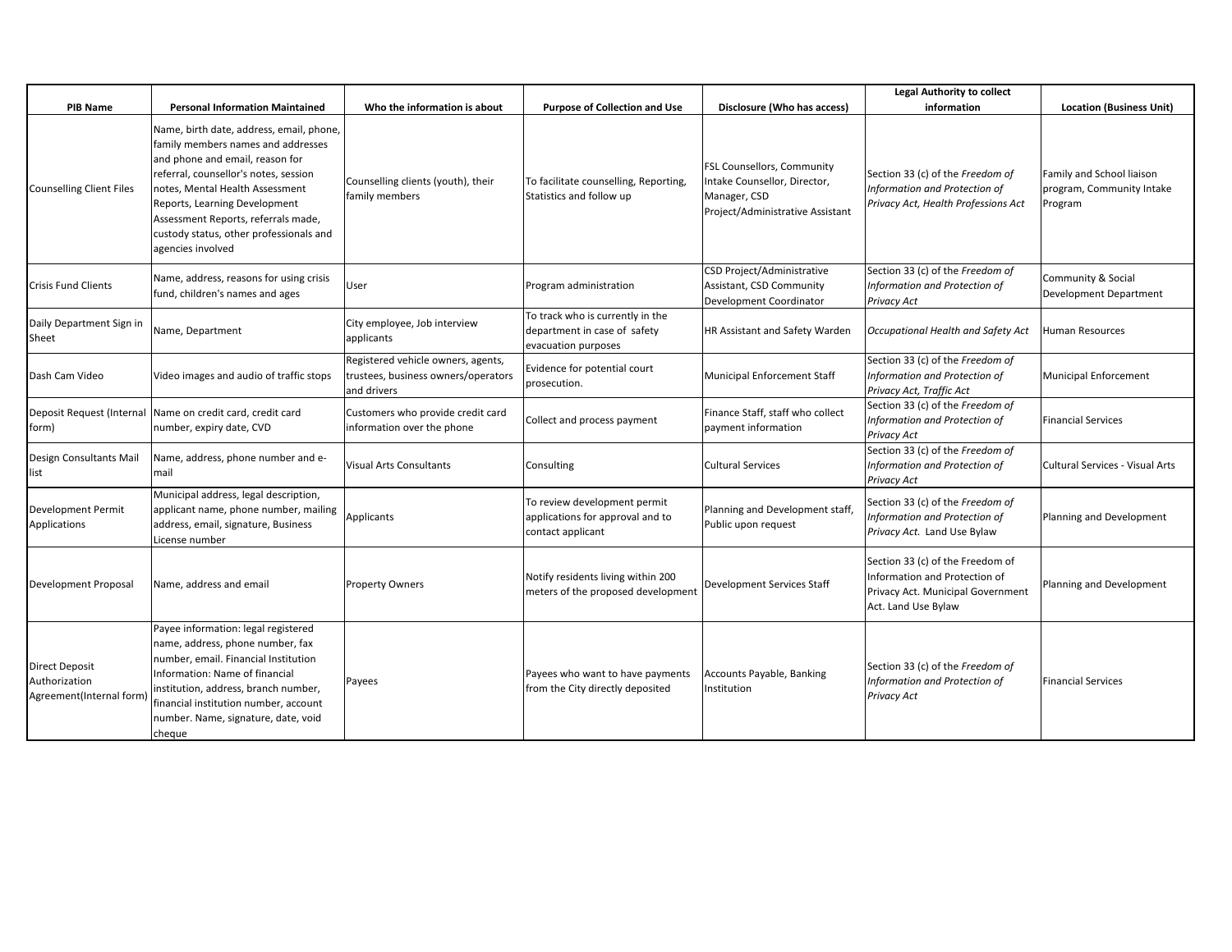|                                                                   |                                                                                                                                                                                                                                                                                                                                       |                                                                                          |                                                                                         |                                                                                                                | <b>Legal Authority to collect</b>                                                                                             |                                                                   |
|-------------------------------------------------------------------|---------------------------------------------------------------------------------------------------------------------------------------------------------------------------------------------------------------------------------------------------------------------------------------------------------------------------------------|------------------------------------------------------------------------------------------|-----------------------------------------------------------------------------------------|----------------------------------------------------------------------------------------------------------------|-------------------------------------------------------------------------------------------------------------------------------|-------------------------------------------------------------------|
| <b>PIB Name</b>                                                   | <b>Personal Information Maintained</b>                                                                                                                                                                                                                                                                                                | Who the information is about                                                             | <b>Purpose of Collection and Use</b>                                                    | Disclosure (Who has access)                                                                                    | information                                                                                                                   | <b>Location (Business Unit)</b>                                   |
| <b>Counselling Client Files</b>                                   | Name, birth date, address, email, phone,<br>family members names and addresses<br>and phone and email, reason for<br>referral, counsellor's notes, session<br>notes, Mental Health Assessment<br>Reports, Learning Development<br>Assessment Reports, referrals made,<br>custody status, other professionals and<br>agencies involved | Counselling clients (youth), their<br>family members                                     | To facilitate counselling, Reporting,<br>Statistics and follow up                       | FSL Counsellors, Community<br>Intake Counsellor, Director,<br>Manager, CSD<br>Project/Administrative Assistant | Section 33 (c) of the Freedom of<br>Information and Protection of<br>Privacy Act, Health Professions Act                      | Family and School liaison<br>program, Community Intake<br>Program |
| <b>Crisis Fund Clients</b>                                        | Name, address, reasons for using crisis<br>fund, children's names and ages                                                                                                                                                                                                                                                            | User                                                                                     | Program administration                                                                  | CSD Project/Administrative<br>Assistant, CSD Community<br>Development Coordinator                              | Section 33 (c) of the Freedom of<br>Information and Protection of<br>Privacy Act                                              | Community & Social<br>Development Department                      |
| Daily Department Sign in<br>Sheet                                 | Name, Department                                                                                                                                                                                                                                                                                                                      | City employee, Job interview<br>applicants                                               | To track who is currently in the<br>department in case of safety<br>evacuation purposes | HR Assistant and Safety Warden                                                                                 | Occupational Health and Safety Act                                                                                            | Human Resources                                                   |
| Dash Cam Video                                                    | Video images and audio of traffic stops                                                                                                                                                                                                                                                                                               | Registered vehicle owners, agents,<br>trustees, business owners/operators<br>and drivers | Evidence for potential court<br>prosecution.                                            | Municipal Enforcement Staff                                                                                    | Section 33 (c) of the Freedom of<br>Information and Protection of<br>Privacy Act, Traffic Act                                 | Municipal Enforcement                                             |
| Deposit Request (Internal<br>form)                                | Name on credit card, credit card<br>number, expiry date, CVD                                                                                                                                                                                                                                                                          | Customers who provide credit card<br>information over the phone                          | Collect and process payment                                                             | Finance Staff, staff who collect<br>payment information                                                        | Section 33 (c) of the Freedom of<br>Information and Protection of<br>Privacy Act                                              | <b>Financial Services</b>                                         |
| Design Consultants Mail<br>list                                   | Name, address, phone number and e-<br>mail                                                                                                                                                                                                                                                                                            | Visual Arts Consultants                                                                  | Consulting                                                                              | <b>Cultural Services</b>                                                                                       | Section 33 (c) of the Freedom of<br>Information and Protection of<br>Privacy Act                                              | <b>Cultural Services - Visual Arts</b>                            |
| <b>Development Permit</b><br>Applications                         | Municipal address, legal description,<br>applicant name, phone number, mailing<br>address, email, signature, Business<br>License number                                                                                                                                                                                               | Applicants                                                                               | To review development permit<br>applications for approval and to<br>contact applicant   | Planning and Development staff,<br>Public upon request                                                         | Section 33 (c) of the Freedom of<br>Information and Protection of<br>Privacy Act. Land Use Bylaw                              | Planning and Development                                          |
| Development Proposal                                              | Name, address and email                                                                                                                                                                                                                                                                                                               | <b>Property Owners</b>                                                                   | Notify residents living within 200<br>meters of the proposed development                | <b>Development Services Staff</b>                                                                              | Section 33 (c) of the Freedom of<br>Information and Protection of<br>Privacy Act. Municipal Government<br>Act. Land Use Bylaw | Planning and Development                                          |
| <b>Direct Deposit</b><br>Authorization<br>Agreement(Internal form | Payee information: legal registered<br>name, address, phone number, fax<br>number, email. Financial Institution<br>Information: Name of financial<br>institution, address, branch number,<br>financial institution number, account<br>number. Name, signature, date, void<br>cheque                                                   | Payees                                                                                   | Payees who want to have payments<br>from the City directly deposited                    | Accounts Payable, Banking<br>Institution                                                                       | Section 33 (c) of the Freedom of<br>Information and Protection of<br>Privacy Act                                              | <b>Financial Services</b>                                         |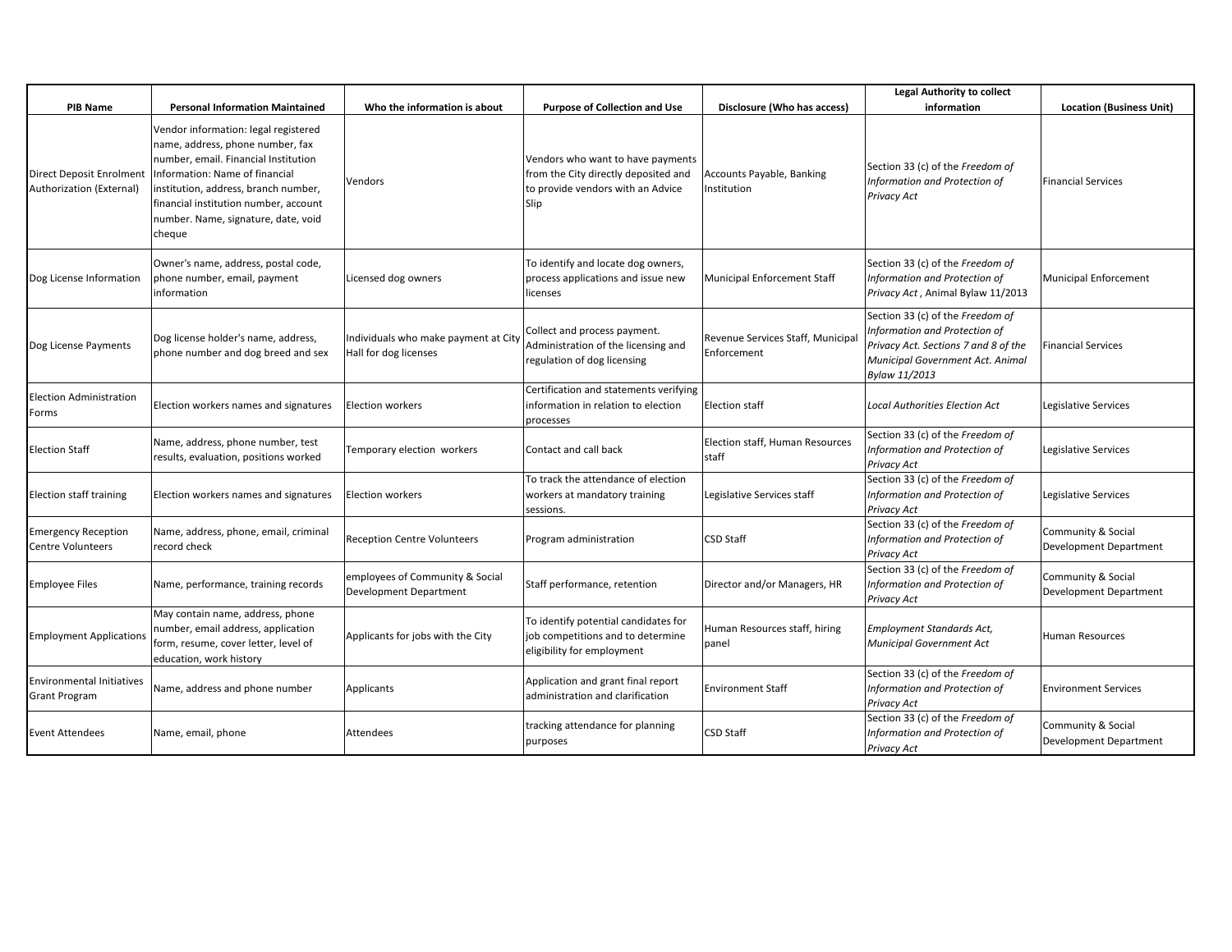|                                                          |                                                                                                                                                                                                                                                                                      |                                                               |                                                                                                                        |                                                  | <b>Legal Authority to collect</b>                                                                                                                              |                                              |
|----------------------------------------------------------|--------------------------------------------------------------------------------------------------------------------------------------------------------------------------------------------------------------------------------------------------------------------------------------|---------------------------------------------------------------|------------------------------------------------------------------------------------------------------------------------|--------------------------------------------------|----------------------------------------------------------------------------------------------------------------------------------------------------------------|----------------------------------------------|
| <b>PIB Name</b>                                          | <b>Personal Information Maintained</b>                                                                                                                                                                                                                                               | Who the information is about                                  | <b>Purpose of Collection and Use</b>                                                                                   | Disclosure (Who has access)                      | information                                                                                                                                                    | <b>Location (Business Unit)</b>              |
| Direct Deposit Enrolment<br>Authorization (External)     | Vendor information: legal registered<br>name, address, phone number, fax<br>number, email. Financial Institution<br>Information: Name of financial<br>institution, address, branch number,<br>financial institution number, account<br>number. Name, signature, date, void<br>cheque | Vendors                                                       | Vendors who want to have payments<br>from the City directly deposited and<br>to provide vendors with an Advice<br>Slip | Accounts Payable, Banking<br>nstitution          | Section 33 (c) of the Freedom of<br>Information and Protection of<br><b>Privacy Act</b>                                                                        | <b>Financial Services</b>                    |
| Dog License Information                                  | Owner's name, address, postal code,<br>phone number, email, payment<br>information                                                                                                                                                                                                   | Licensed dog owners                                           | To identify and locate dog owners,<br>process applications and issue new<br>licenses                                   | Municipal Enforcement Staff                      | Section 33 (c) of the Freedom of<br>Information and Protection of<br>Privacy Act, Animal Bylaw 11/2013                                                         | Municipal Enforcement                        |
| Dog License Payments                                     | Dog license holder's name, address,<br>phone number and dog breed and sex                                                                                                                                                                                                            | Individuals who make payment at City<br>Hall for dog licenses | Collect and process payment.<br>Administration of the licensing and<br>regulation of dog licensing                     | Revenue Services Staff, Municipal<br>Enforcement | Section 33 (c) of the Freedom of<br>Information and Protection of<br>Privacy Act. Sections 7 and 8 of the<br>Municipal Government Act. Animal<br>Bylaw 11/2013 | <b>Financial Services</b>                    |
| <b>Election Administration</b><br>Forms                  | Election workers names and signatures                                                                                                                                                                                                                                                | <b>Election workers</b>                                       | Certification and statements verifying<br>information in relation to election<br>processes                             | <b>Election staff</b>                            | <b>Local Authorities Election Act</b>                                                                                                                          | Legislative Services                         |
| <b>Election Staff</b>                                    | Name, address, phone number, test<br>results, evaluation, positions worked                                                                                                                                                                                                           | Temporary election workers                                    | Contact and call back                                                                                                  | Election staff, Human Resources<br>staff         | Section 33 (c) of the Freedom of<br>Information and Protection of<br>Privacy Act                                                                               | Legislative Services                         |
| Election staff training                                  | Election workers names and signatures                                                                                                                                                                                                                                                | <b>Election workers</b>                                       | To track the attendance of election<br>workers at mandatory training<br>sessions.                                      | Legislative Services staff                       | Section 33 (c) of the Freedom of<br>Information and Protection of<br>Privacy Act                                                                               | Legislative Services                         |
| <b>Emergency Reception</b><br><b>Centre Volunteers</b>   | Name, address, phone, email, criminal<br>record check                                                                                                                                                                                                                                | <b>Reception Centre Volunteers</b>                            | Program administration                                                                                                 | <b>CSD Staff</b>                                 | Section 33 (c) of the Freedom of<br>Information and Protection of<br><b>Privacy Act</b>                                                                        | Community & Social<br>Development Department |
| <b>Employee Files</b>                                    | Name, performance, training records                                                                                                                                                                                                                                                  | employees of Community & Social<br>Development Department     | Staff performance, retention                                                                                           | Director and/or Managers, HR                     | Section 33 (c) of the Freedom of<br>Information and Protection of<br><b>Privacy Act</b>                                                                        | Community & Social<br>Development Department |
| <b>Employment Applications</b>                           | May contain name, address, phone<br>number, email address, application<br>form, resume, cover letter, level of<br>education, work history                                                                                                                                            | Applicants for jobs with the City                             | To identify potential candidates for<br>job competitions and to determine<br>eligibility for employment                | Human Resources staff, hiring<br>panel           | <b>Employment Standards Act,</b><br>Municipal Government Act                                                                                                   | <b>Human Resources</b>                       |
| <b>Environmental Initiatives</b><br><b>Grant Program</b> | Name, address and phone number                                                                                                                                                                                                                                                       | <b>Applicants</b>                                             | Application and grant final report<br>administration and clarification                                                 | <b>Environment Staff</b>                         | Section 33 (c) of the Freedom of<br>Information and Protection of<br>Privacy Act                                                                               | <b>Environment Services</b>                  |
| <b>Event Attendees</b>                                   | Name, email, phone                                                                                                                                                                                                                                                                   | Attendees                                                     | tracking attendance for planning<br>purposes                                                                           | <b>CSD Staff</b>                                 | Section 33 (c) of the Freedom of<br>Information and Protection of<br>Privacy Act                                                                               | Community & Social<br>Development Department |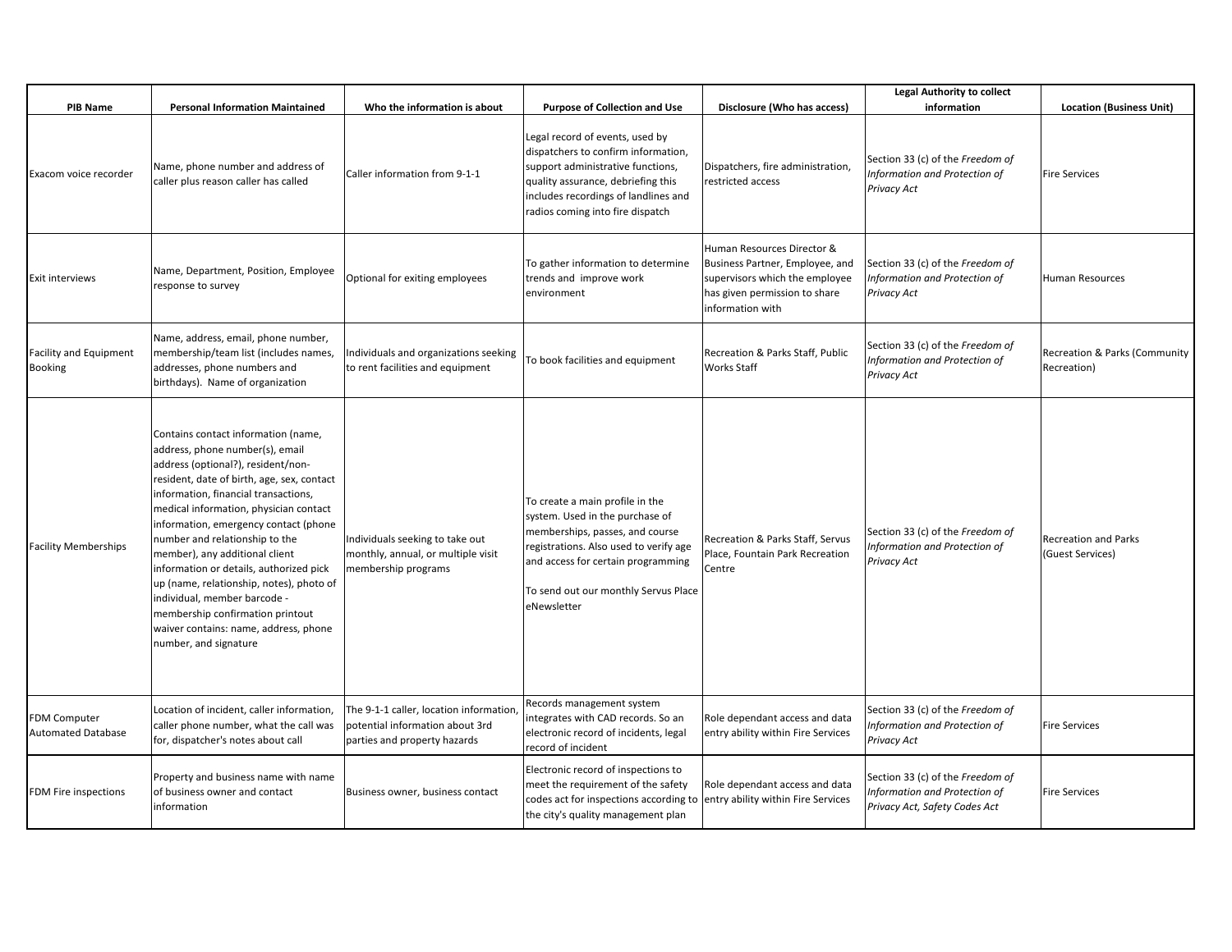| <b>PIB Name</b>                                  | <b>Personal Information Maintained</b>                                                                                                                                                                                                                                                                                                                                                                                                                                                                                                                                                 | Who the information is about                                                                              | <b>Purpose of Collection and Use</b>                                                                                                                                                                                                         | Disclosure (Who has access)                                                                                                                          | <b>Legal Authority to collect</b><br>information                                                   | <b>Location (Business Unit)</b>                 |
|--------------------------------------------------|----------------------------------------------------------------------------------------------------------------------------------------------------------------------------------------------------------------------------------------------------------------------------------------------------------------------------------------------------------------------------------------------------------------------------------------------------------------------------------------------------------------------------------------------------------------------------------------|-----------------------------------------------------------------------------------------------------------|----------------------------------------------------------------------------------------------------------------------------------------------------------------------------------------------------------------------------------------------|------------------------------------------------------------------------------------------------------------------------------------------------------|----------------------------------------------------------------------------------------------------|-------------------------------------------------|
| Exacom voice recorder                            | Name, phone number and address of<br>caller plus reason caller has called                                                                                                                                                                                                                                                                                                                                                                                                                                                                                                              | Caller information from 9-1-1                                                                             | Legal record of events, used by<br>dispatchers to confirm information,<br>support administrative functions,<br>quality assurance, debriefing this<br>includes recordings of landlines and<br>radios coming into fire dispatch                | Dispatchers, fire administration,<br>restricted access                                                                                               | Section 33 (c) of the Freedom of<br>Information and Protection of<br>Privacy Act                   | <b>Fire Services</b>                            |
| <b>Exit interviews</b>                           | Name, Department, Position, Employee<br>response to survey                                                                                                                                                                                                                                                                                                                                                                                                                                                                                                                             | Optional for exiting employees                                                                            | To gather information to determine<br>trends and improve work<br>environment                                                                                                                                                                 | Human Resources Director &<br>Business Partner, Employee, and<br>supervisors which the employee<br>has given permission to share<br>information with | Section 33 (c) of the Freedom of<br>Information and Protection of<br>Privacy Act                   | Human Resources                                 |
| <b>Facility and Equipment</b><br><b>Booking</b>  | Name, address, email, phone number,<br>membership/team list (includes names,<br>addresses, phone numbers and<br>birthdays). Name of organization                                                                                                                                                                                                                                                                                                                                                                                                                                       | Individuals and organizations seeking<br>to rent facilities and equipment                                 | To book facilities and equipment                                                                                                                                                                                                             | Recreation & Parks Staff, Public<br>Works Staff                                                                                                      | Section 33 (c) of the Freedom of<br>Information and Protection of<br>Privacy Act                   | Recreation & Parks (Community<br>Recreation)    |
| <b>Facility Memberships</b>                      | Contains contact information (name,<br>address, phone number(s), email<br>address (optional?), resident/non-<br>resident, date of birth, age, sex, contact<br>information, financial transactions,<br>medical information, physician contact<br>information, emergency contact (phone<br>number and relationship to the<br>member), any additional client<br>information or details, authorized pick<br>up (name, relationship, notes), photo of<br>individual, member barcode -<br>membership confirmation printout<br>waiver contains: name, address, phone<br>number, and signature | Individuals seeking to take out<br>monthly, annual, or multiple visit<br>membership programs              | To create a main profile in the<br>system. Used in the purchase of<br>memberships, passes, and course<br>registrations. Also used to verify age<br>and access for certain programming<br>To send out our monthly Servus Place<br>eNewsletter | Recreation & Parks Staff, Servus<br>Place, Fountain Park Recreation<br>Centre                                                                        | Section 33 (c) of the Freedom of<br>Information and Protection of<br>Privacy Act                   | <b>Recreation and Parks</b><br>(Guest Services) |
| <b>FDM Computer</b><br><b>Automated Database</b> | Location of incident, caller information,<br>caller phone number, what the call was<br>for, dispatcher's notes about call                                                                                                                                                                                                                                                                                                                                                                                                                                                              | The 9-1-1 caller, location information<br>potential information about 3rd<br>parties and property hazards | Records management system<br>integrates with CAD records. So an<br>electronic record of incidents, legal<br>record of incident                                                                                                               | Role dependant access and data<br>entry ability within Fire Services                                                                                 | Section 33 (c) of the Freedom of<br>Information and Protection of<br>Privacy Act                   | <b>Fire Services</b>                            |
| FDM Fire inspections                             | Property and business name with name<br>of business owner and contact<br>information                                                                                                                                                                                                                                                                                                                                                                                                                                                                                                   | Business owner, business contact                                                                          | Electronic record of inspections to<br>meet the requirement of the safety<br>codes act for inspections according to entry ability within Fire Services<br>the city's quality management plan                                                 | Role dependant access and data                                                                                                                       | Section 33 (c) of the Freedom of<br>Information and Protection of<br>Privacy Act, Safety Codes Act | <b>Fire Services</b>                            |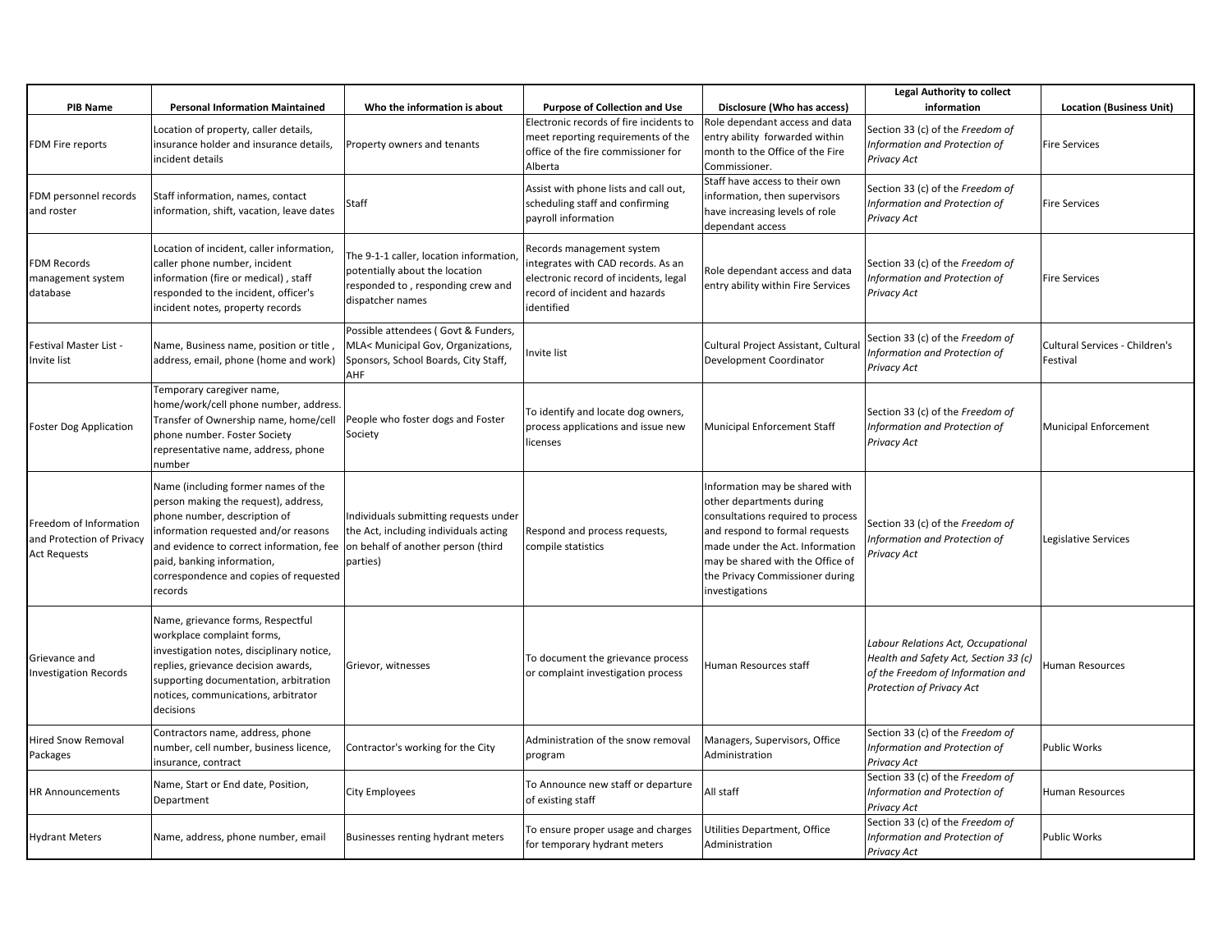|                                                                            |                                                                                                                                                                                                                                                                                    |                                                                                                                                   |                                                                                                                                                          |                                                                                                                                                                                                                                                               | <b>Legal Authority to collect</b>                                                                                                             |                                            |
|----------------------------------------------------------------------------|------------------------------------------------------------------------------------------------------------------------------------------------------------------------------------------------------------------------------------------------------------------------------------|-----------------------------------------------------------------------------------------------------------------------------------|----------------------------------------------------------------------------------------------------------------------------------------------------------|---------------------------------------------------------------------------------------------------------------------------------------------------------------------------------------------------------------------------------------------------------------|-----------------------------------------------------------------------------------------------------------------------------------------------|--------------------------------------------|
| <b>PIB Name</b>                                                            | <b>Personal Information Maintained</b>                                                                                                                                                                                                                                             | Who the information is about                                                                                                      | <b>Purpose of Collection and Use</b>                                                                                                                     | Disclosure (Who has access)                                                                                                                                                                                                                                   | information                                                                                                                                   | <b>Location (Business Unit)</b>            |
| FDM Fire reports                                                           | Location of property, caller details,<br>insurance holder and insurance details,<br>incident details                                                                                                                                                                               | Property owners and tenants                                                                                                       | Electronic records of fire incidents to<br>meet reporting requirements of the<br>office of the fire commissioner for<br>Alberta                          | Role dependant access and data<br>entry ability forwarded within<br>month to the Office of the Fire<br>Commissioner.                                                                                                                                          | Section 33 (c) of the Freedom of<br>Information and Protection of<br>Privacy Act                                                              | <b>Fire Services</b>                       |
| FDM personnel records<br>and roster                                        | Staff information, names, contact<br>information, shift, vacation, leave dates                                                                                                                                                                                                     | Staff                                                                                                                             | Assist with phone lists and call out,<br>scheduling staff and confirming<br>payroll information                                                          | Staff have access to their own<br>information, then supervisors<br>have increasing levels of role<br>dependant access                                                                                                                                         | Section 33 (c) of the Freedom of<br>Information and Protection of<br>Privacy Act                                                              | <b>Fire Services</b>                       |
| FDM Records<br>management system<br>database                               | Location of incident, caller information,<br>caller phone number, incident<br>information (fire or medical), staff<br>responded to the incident, officer's<br>incident notes, property records                                                                                     | The 9-1-1 caller, location information<br>potentially about the location<br>responded to, responding crew and<br>dispatcher names | Records management system<br>integrates with CAD records. As an<br>electronic record of incidents, legal<br>record of incident and hazards<br>identified | Role dependant access and data<br>entry ability within Fire Services                                                                                                                                                                                          | Section 33 (c) of the Freedom of<br>Information and Protection of<br>Privacy Act                                                              | <b>Fire Services</b>                       |
| Festival Master List -<br>Invite list                                      | Name, Business name, position or title,<br>address, email, phone (home and work)                                                                                                                                                                                                   | Possible attendees (Govt & Funders,<br>MLA< Municipal Gov, Organizations,<br>Sponsors, School Boards, City Staff,<br>AHF          | Invite list                                                                                                                                              | Cultural Project Assistant, Cultural<br>Development Coordinator                                                                                                                                                                                               | Section 33 (c) of the Freedom of<br>Information and Protection of<br>Privacy Act                                                              | Cultural Services - Children's<br>Festival |
| <b>Foster Dog Application</b>                                              | Temporary caregiver name,<br>home/work/cell phone number, address.<br>Transfer of Ownership name, home/cell<br>phone number. Foster Society<br>representative name, address, phone<br>number                                                                                       | People who foster dogs and Foster<br>Society                                                                                      | To identify and locate dog owners,<br>process applications and issue new<br>licenses                                                                     | Municipal Enforcement Staff                                                                                                                                                                                                                                   | Section 33 (c) of the Freedom of<br>Information and Protection of<br>Privacy Act                                                              | Municipal Enforcement                      |
| Freedom of Information<br>and Protection of Privacy<br><b>Act Requests</b> | Name (including former names of the<br>person making the request), address,<br>phone number, description of<br>information requested and/or reasons<br>and evidence to correct information, fee<br>paid, banking information,<br>correspondence and copies of requested<br>records | Individuals submitting requests under<br>the Act, including individuals acting<br>on behalf of another person (third<br>parties)  | Respond and process requests,<br>compile statistics                                                                                                      | Information may be shared with<br>other departments during<br>consultations required to process<br>and respond to formal requests<br>made under the Act. Information<br>may be shared with the Office of<br>the Privacy Commissioner during<br>investigations | Section 33 (c) of the Freedom of<br>Information and Protection of<br>Privacy Act                                                              | Legislative Services                       |
| Grievance and<br><b>Investigation Records</b>                              | Name, grievance forms, Respectful<br>workplace complaint forms,<br>investigation notes, disciplinary notice,<br>replies, grievance decision awards,<br>supporting documentation, arbitration<br>notices, communications, arbitrator<br>decisions                                   | Grievor, witnesses                                                                                                                | To document the grievance process<br>or complaint investigation process                                                                                  | Human Resources staff                                                                                                                                                                                                                                         | Labour Relations Act, Occupational<br>Health and Safety Act, Section 33 (c)<br>of the Freedom of Information and<br>Protection of Privacy Act | <b>Human Resources</b>                     |
| <b>Hired Snow Removal</b><br>Packages                                      | Contractors name, address, phone<br>number, cell number, business licence,<br>insurance, contract                                                                                                                                                                                  | Contractor's working for the City                                                                                                 | Administration of the snow removal<br>program                                                                                                            | Managers, Supervisors, Office<br>Administration                                                                                                                                                                                                               | Section 33 (c) of the Freedom of<br>Information and Protection of<br>Privacy Act                                                              | Public Works                               |
| <b>HR Announcements</b>                                                    | Name, Start or End date, Position,<br>Department                                                                                                                                                                                                                                   | City Employees                                                                                                                    | To Announce new staff or departure<br>of existing staff                                                                                                  | All staff                                                                                                                                                                                                                                                     | Section 33 (c) of the Freedom of<br>Information and Protection of<br>Privacy Act                                                              | Human Resources                            |
| <b>Hydrant Meters</b>                                                      | Name, address, phone number, email                                                                                                                                                                                                                                                 | Businesses renting hydrant meters                                                                                                 | To ensure proper usage and charges<br>for temporary hydrant meters                                                                                       | Utilities Department, Office<br>Administration                                                                                                                                                                                                                | Section 33 (c) of the Freedom of<br>Information and Protection of<br>Privacy Act                                                              | <b>Public Works</b>                        |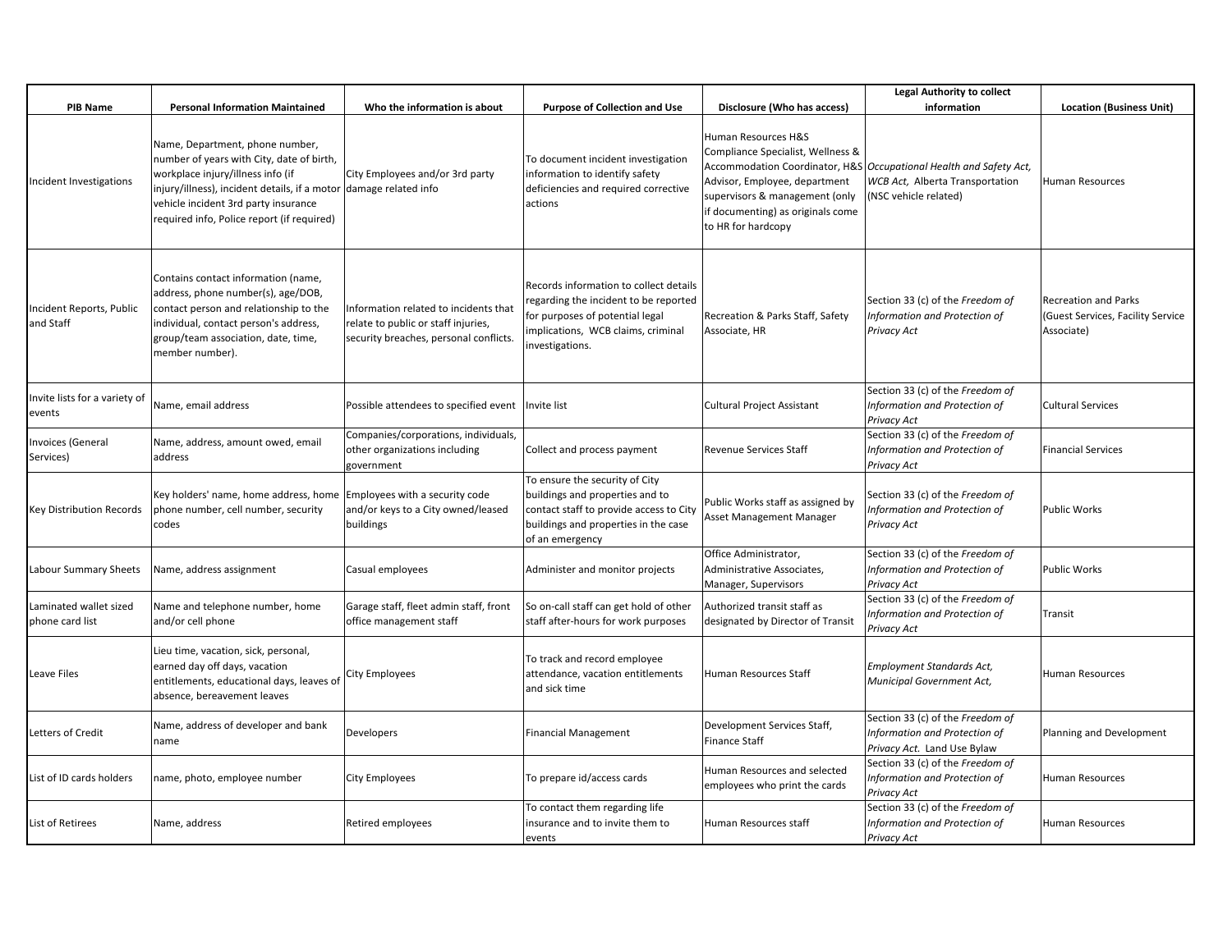|                                           |                                                                                                                                                                                                                                                                              |                                                                                                                        |                                                                                                                                                                             |                                                                                                                                                                                        | <b>Legal Authority to collect</b>                                                                                                |                                                                                |
|-------------------------------------------|------------------------------------------------------------------------------------------------------------------------------------------------------------------------------------------------------------------------------------------------------------------------------|------------------------------------------------------------------------------------------------------------------------|-----------------------------------------------------------------------------------------------------------------------------------------------------------------------------|----------------------------------------------------------------------------------------------------------------------------------------------------------------------------------------|----------------------------------------------------------------------------------------------------------------------------------|--------------------------------------------------------------------------------|
| PIB Name                                  | <b>Personal Information Maintained</b>                                                                                                                                                                                                                                       | Who the information is about                                                                                           | <b>Purpose of Collection and Use</b>                                                                                                                                        | Disclosure (Who has access)                                                                                                                                                            | information                                                                                                                      | <b>Location (Business Unit)</b>                                                |
| Incident Investigations                   | Name, Department, phone number,<br>number of years with City, date of birth,<br>workplace injury/illness info (if<br>injury/illness), incident details, if a motor damage related info<br>vehicle incident 3rd party insurance<br>required info, Police report (if required) | City Employees and/or 3rd party                                                                                        | To document incident investigation<br>information to identify safety<br>deficiencies and required corrective<br>actions                                                     | Human Resources H&S<br>Compliance Specialist, Wellness &<br>Advisor, Employee, department<br>supervisors & management (only<br>if documenting) as originals come<br>to HR for hardcopy | Accommodation Coordinator, H&S   Occupational Health and Safety Act,<br>WCB Act, Alberta Transportation<br>(NSC vehicle related) | Human Resources                                                                |
| Incident Reports, Public<br>and Staff     | Contains contact information (name,<br>address, phone number(s), age/DOB,<br>contact person and relationship to the<br>individual, contact person's address,<br>group/team association, date, time,<br>member number).                                                       | Information related to incidents that<br>relate to public or staff injuries,<br>security breaches, personal conflicts. | Records information to collect details<br>regarding the incident to be reported<br>for purposes of potential legal<br>implications, WCB claims, criminal<br>investigations. | Recreation & Parks Staff, Safety<br>Associate, HR                                                                                                                                      | Section 33 (c) of the Freedom of<br>Information and Protection of<br>Privacy Act                                                 | <b>Recreation and Parks</b><br>(Guest Services, Facility Service<br>Associate) |
| Invite lists for a variety of<br>events   | Name, email address                                                                                                                                                                                                                                                          | Possible attendees to specified event   Invite list                                                                    |                                                                                                                                                                             | Cultural Project Assistant                                                                                                                                                             | Section 33 (c) of the Freedom of<br>Information and Protection of<br>Privacy Act                                                 | <b>Cultural Services</b>                                                       |
| <b>Invoices (General</b><br>Services)     | Name, address, amount owed, email<br>address                                                                                                                                                                                                                                 | Companies/corporations, individuals,<br>other organizations including<br>government                                    | Collect and process payment                                                                                                                                                 | <b>Revenue Services Staff</b>                                                                                                                                                          | Section 33 (c) of the Freedom of<br>Information and Protection of<br>Privacy Act                                                 | <b>Financial Services</b>                                                      |
| Key Distribution Records                  | Key holders' name, home address, home<br>phone number, cell number, security<br>codes                                                                                                                                                                                        | Employees with a security code<br>and/or keys to a City owned/leased<br>buildings                                      | To ensure the security of City<br>buildings and properties and to<br>contact staff to provide access to City<br>buildings and properties in the case<br>of an emergency     | Public Works staff as assigned by<br>Asset Management Manager                                                                                                                          | Section 33 (c) of the <i>Freedom of</i><br>Information and Protection of<br>Privacy Act                                          | <b>Public Works</b>                                                            |
| Labour Summary Sheets                     | Name, address assignment                                                                                                                                                                                                                                                     | Casual employees                                                                                                       | Administer and monitor projects                                                                                                                                             | Office Administrator,<br>Administrative Associates,<br>Manager, Supervisors                                                                                                            | Section 33 (c) of the Freedom of<br>Information and Protection of<br>Privacy Act                                                 | Public Works                                                                   |
| Laminated wallet sized<br>phone card list | Name and telephone number, home<br>and/or cell phone                                                                                                                                                                                                                         | Garage staff, fleet admin staff, front<br>office management staff                                                      | So on-call staff can get hold of other<br>staff after-hours for work purposes                                                                                               | Authorized transit staff as<br>designated by Director of Transit                                                                                                                       | Section 33 (c) of the Freedom of<br>Information and Protection of<br>Privacy Act                                                 | Transit                                                                        |
| Leave Files                               | Lieu time, vacation, sick, personal,<br>earned day off days, vacation<br>entitlements, educational days, leaves of<br>absence, bereavement leaves                                                                                                                            | City Employees                                                                                                         | To track and record employee<br>attendance, vacation entitlements<br>and sick time                                                                                          | Human Resources Staff                                                                                                                                                                  | Employment Standards Act,<br>Municipal Government Act,                                                                           | Human Resources                                                                |
| Letters of Credit                         | Name, address of developer and bank<br>name                                                                                                                                                                                                                                  | Developers                                                                                                             | <b>Financial Management</b>                                                                                                                                                 | Development Services Staff,<br><b>Finance Staff</b>                                                                                                                                    | Section 33 (c) of the Freedom of<br>Information and Protection of<br>Privacy Act. Land Use Bylaw                                 | Planning and Development                                                       |
| List of ID cards holders                  | name, photo, employee number                                                                                                                                                                                                                                                 | City Employees                                                                                                         | To prepare id/access cards                                                                                                                                                  | Human Resources and selected<br>employees who print the cards                                                                                                                          | Section 33 (c) of the Freedom of<br>Information and Protection of<br>Privacy Act                                                 | <b>Human Resources</b>                                                         |
| List of Retirees                          | Name, address                                                                                                                                                                                                                                                                | Retired employees                                                                                                      | To contact them regarding life<br>insurance and to invite them to<br>events                                                                                                 | Human Resources staff                                                                                                                                                                  | Section 33 (c) of the Freedom of<br>Information and Protection of<br>Privacy Act                                                 | Human Resources                                                                |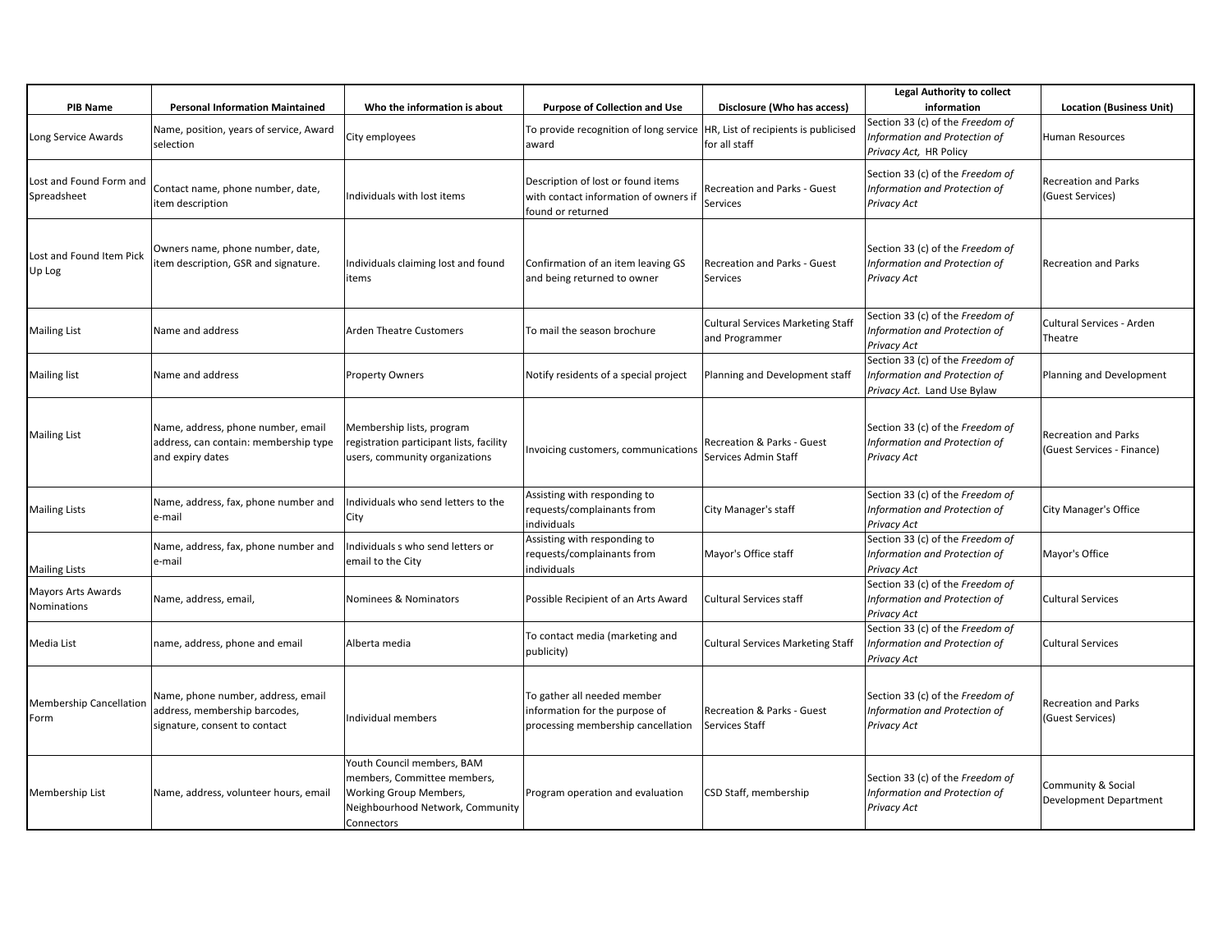| <b>PIB Name</b>                        | <b>Personal Information Maintained</b>                                                               | Who the information is about                                                                                                          | <b>Purpose of Collection and Use</b>                                                                | Disclosure (Who has access)                                | <b>Legal Authority to collect</b><br>information                                                 | <b>Location (Business Unit)</b>                           |
|----------------------------------------|------------------------------------------------------------------------------------------------------|---------------------------------------------------------------------------------------------------------------------------------------|-----------------------------------------------------------------------------------------------------|------------------------------------------------------------|--------------------------------------------------------------------------------------------------|-----------------------------------------------------------|
| Long Service Awards                    | Name, position, years of service, Award<br>selection                                                 | City employees                                                                                                                        | To provide recognition of long service<br>award                                                     | HR, List of recipients is publicised<br>for all staff      | Section 33 (c) of the Freedom of<br>Information and Protection of<br>Privacy Act, HR Policy      | Human Resources                                           |
| Lost and Found Form and<br>Spreadsheet | Contact name, phone number, date,<br>item description                                                | Individuals with lost items                                                                                                           | Description of lost or found items<br>with contact information of owners if<br>found or returned    | <b>Recreation and Parks - Guest</b><br>Services            | Section 33 (c) of the Freedom of<br>Information and Protection of<br>Privacy Act                 | <b>Recreation and Parks</b><br>(Guest Services)           |
| Lost and Found Item Pick<br>Up Log     | Owners name, phone number, date,<br>item description, GSR and signature.                             | Individuals claiming lost and found<br>items                                                                                          | Confirmation of an item leaving GS<br>and being returned to owner                                   | Recreation and Parks - Guest<br><b>Services</b>            | Section 33 (c) of the Freedom of<br>Information and Protection of<br>Privacy Act                 | <b>Recreation and Parks</b>                               |
| <b>Mailing List</b>                    | Name and address                                                                                     | <b>Arden Theatre Customers</b>                                                                                                        | To mail the season brochure                                                                         | <b>Cultural Services Marketing Staff</b><br>and Programmer | Section 33 (c) of the Freedom of<br>Information and Protection of<br>Privacy Act                 | Cultural Services - Arden<br>Theatre                      |
| <b>Mailing list</b>                    | Name and address                                                                                     | <b>Property Owners</b>                                                                                                                | Notify residents of a special project                                                               | Planning and Development staff                             | Section 33 (c) of the Freedom of<br>Information and Protection of<br>Privacy Act. Land Use Bylaw | Planning and Development                                  |
| <b>Mailing List</b>                    | Name, address, phone number, email<br>address, can contain: membership type<br>and expiry dates      | Membership lists, program<br>registration participant lists, facility<br>users, community organizations                               | Invoicing customers, communications                                                                 | Recreation & Parks - Guest<br>Services Admin Staff         | Section 33 (c) of the Freedom of<br>Information and Protection of<br>Privacy Act                 | <b>Recreation and Parks</b><br>(Guest Services - Finance) |
| <b>Mailing Lists</b>                   | Name, address, fax, phone number and<br>e-mail                                                       | Individuals who send letters to the<br>City                                                                                           | Assisting with responding to<br>requests/complainants from<br>individuals                           | City Manager's staff                                       | Section 33 (c) of the Freedom of<br>Information and Protection of<br>Privacy Act                 | City Manager's Office                                     |
| <b>Mailing Lists</b>                   | Name, address, fax, phone number and<br>e-mail                                                       | Individuals s who send letters or<br>email to the City                                                                                | Assisting with responding to<br>requests/complainants from<br>individuals                           | Mayor's Office staff                                       | Section 33 (c) of the Freedom of<br>Information and Protection of<br>Privacy Act                 | Mayor's Office                                            |
| Mayors Arts Awards<br>Nominations      | Name, address, email,                                                                                | Nominees & Nominators                                                                                                                 | Possible Recipient of an Arts Award                                                                 | <b>Cultural Services staff</b>                             | Section 33 (c) of the Freedom of<br>Information and Protection of<br>Privacy Act                 | Cultural Services                                         |
| Media List                             | name, address, phone and email                                                                       | Alberta media                                                                                                                         | To contact media (marketing and<br>publicity)                                                       | <b>Cultural Services Marketing Staff</b>                   | Section 33 (c) of the Freedom of<br>Information and Protection of<br><b>Privacy Act</b>          | <b>Cultural Services</b>                                  |
| <b>Membership Cancellation</b><br>Form | Name, phone number, address, email<br>address, membership barcodes,<br>signature, consent to contact | Individual members                                                                                                                    | To gather all needed member<br>information for the purpose of<br>processing membership cancellation | Recreation & Parks - Guest<br><b>Services Staff</b>        | Section 33 (c) of the Freedom of<br>Information and Protection of<br><b>Privacy Act</b>          | <b>Recreation and Parks</b><br>(Guest Services)           |
| Membership List                        | Name, address, volunteer hours, email                                                                | Youth Council members, BAM<br>members, Committee members,<br>Working Group Members,<br>Neighbourhood Network, Community<br>Connectors | Program operation and evaluation                                                                    | CSD Staff, membership                                      | Section 33 (c) of the Freedom of<br>Information and Protection of<br>Privacy Act                 | Community & Social<br>Development Department              |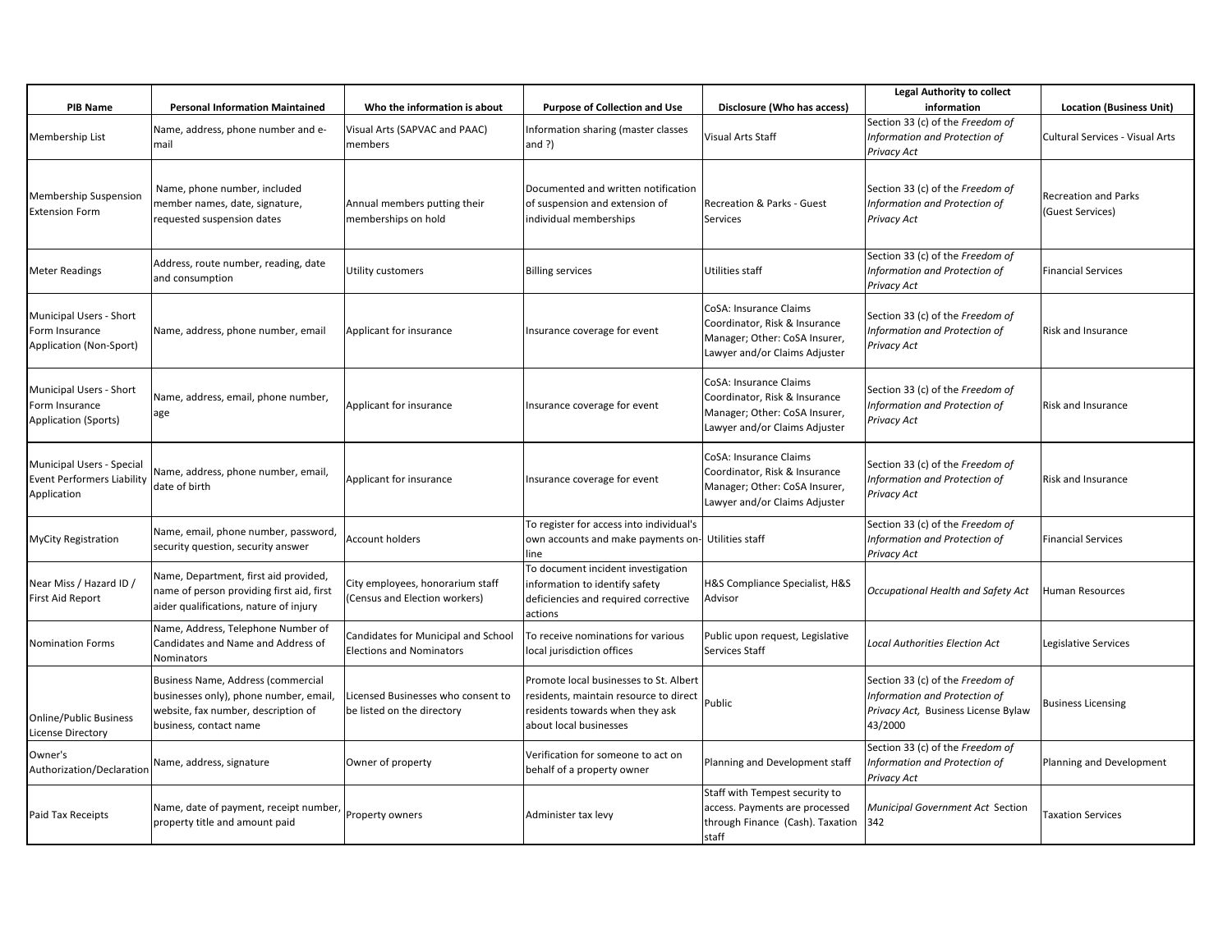|                                                                        |                                                                                                                                               |                                                                        |                                                                                                                                               |                                                                                                                           | <b>Legal Authority to collect</b>                                                                                   |                                                 |
|------------------------------------------------------------------------|-----------------------------------------------------------------------------------------------------------------------------------------------|------------------------------------------------------------------------|-----------------------------------------------------------------------------------------------------------------------------------------------|---------------------------------------------------------------------------------------------------------------------------|---------------------------------------------------------------------------------------------------------------------|-------------------------------------------------|
| <b>PIB Name</b>                                                        | <b>Personal Information Maintained</b>                                                                                                        | Who the information is about                                           | <b>Purpose of Collection and Use</b>                                                                                                          | Disclosure (Who has access)                                                                                               | information                                                                                                         | <b>Location (Business Unit)</b>                 |
| Membership List                                                        | Name, address, phone number and e-<br>mail                                                                                                    | Visual Arts (SAPVAC and PAAC)<br>members                               | Information sharing (master classes<br>and $?$ )                                                                                              | Visual Arts Staff                                                                                                         | Section 33 (c) of the Freedom of<br>Information and Protection of<br>Privacy Act                                    | Cultural Services - Visual Arts                 |
| Membership Suspension<br><b>Extension Form</b>                         | Name, phone number, included<br>member names, date, signature,<br>requested suspension dates                                                  | Annual members putting their<br>memberships on hold                    | Documented and written notification<br>of suspension and extension of<br>individual memberships                                               | Recreation & Parks - Guest<br>Services                                                                                    | Section 33 (c) of the Freedom of<br>Information and Protection of<br>Privacy Act                                    | <b>Recreation and Parks</b><br>(Guest Services) |
| <b>Meter Readings</b>                                                  | Address, route number, reading, date<br>and consumption                                                                                       | Utility customers                                                      | <b>Billing services</b>                                                                                                                       | Utilities staff                                                                                                           | Section 33 (c) of the Freedom of<br>Information and Protection of<br>Privacy Act                                    | Financial Services                              |
| Municipal Users - Short<br>Form Insurance<br>Application (Non-Sport)   | Name, address, phone number, email                                                                                                            | Applicant for insurance                                                | Insurance coverage for event                                                                                                                  | CoSA: Insurance Claims<br>Coordinator, Risk & Insurance<br>Manager; Other: CoSA Insurer,<br>Lawyer and/or Claims Adjuster | Section 33 (c) of the Freedom of<br>Information and Protection of<br>Privacy Act                                    | <b>Risk and Insurance</b>                       |
| Municipal Users - Short<br>Form Insurance<br>Application (Sports)      | Name, address, email, phone number,<br>age                                                                                                    | Applicant for insurance                                                | Insurance coverage for event                                                                                                                  | CoSA: Insurance Claims<br>Coordinator, Risk & Insurance<br>Manager; Other: CoSA Insurer,<br>Lawyer and/or Claims Adjuster | Section 33 (c) of the Freedom of<br>Information and Protection of<br>Privacy Act                                    | Risk and Insurance                              |
| Municipal Users - Special<br>Event Performers Liability<br>Application | Name, address, phone number, email,<br>date of birth                                                                                          | Applicant for insurance                                                | Insurance coverage for event                                                                                                                  | CoSA: Insurance Claims<br>Coordinator, Risk & Insurance<br>Manager; Other: CoSA Insurer,<br>Lawyer and/or Claims Adjuster | Section 33 (c) of the Freedom of<br>Information and Protection of<br>Privacy Act                                    | Risk and Insurance                              |
| <b>MyCity Registration</b>                                             | Name, email, phone number, password,<br>security question, security answer                                                                    | <b>Account holders</b>                                                 | To register for access into individual's<br>own accounts and make payments on-<br>line                                                        | Utilities staff                                                                                                           | Section 33 (c) of the Freedom of<br>Information and Protection of<br>Privacy Act                                    | <b>Financial Services</b>                       |
| Near Miss / Hazard ID /<br>First Aid Report                            | Name, Department, first aid provided,<br>name of person providing first aid, first<br>aider qualifications, nature of injury                  | City employees, honorarium staff<br>(Census and Election workers)      | To document incident investigation<br>information to identify safety<br>deficiencies and required corrective<br>actions                       | H&S Compliance Specialist, H&S<br>Advisor                                                                                 | Occupational Health and Safety Act                                                                                  | Human Resources                                 |
| <b>Nomination Forms</b>                                                | Name, Address, Telephone Number of<br>Candidates and Name and Address of<br><b>Nominators</b>                                                 | Candidates for Municipal and School<br><b>Elections and Nominators</b> | To receive nominations for various<br>local jurisdiction offices                                                                              | Public upon request, Legislative<br>Services Staff                                                                        | Local Authorities Election Act                                                                                      | Legislative Services                            |
| <b>Online/Public Business</b><br>License Directory                     | Business Name, Address (commercial<br>businesses only), phone number, email,<br>website, fax number, description of<br>business, contact name | Licensed Businesses who consent to<br>be listed on the directory       | Promote local businesses to St. Albert<br>residents, maintain resource to direct<br>residents towards when they ask<br>about local businesses | Public                                                                                                                    | Section 33 (c) of the Freedom of<br>Information and Protection of<br>Privacy Act, Business License Bylaw<br>43/2000 | <b>Business Licensing</b>                       |
| Owner's<br>Authorization/Declaration                                   | Name, address, signature                                                                                                                      | Owner of property                                                      | Verification for someone to act on<br>behalf of a property owner                                                                              | Planning and Development staff                                                                                            | Section 33 (c) of the Freedom of<br>Information and Protection of<br>Privacy Act                                    | Planning and Development                        |
| Paid Tax Receipts                                                      | Name, date of payment, receipt number,<br>property title and amount paid                                                                      | Property owners                                                        | Administer tax levy                                                                                                                           | Staff with Tempest security to<br>access. Payments are processed<br>through Finance (Cash). Taxation<br>staff             | Municipal Government Act Section<br>342                                                                             | <b>Taxation Services</b>                        |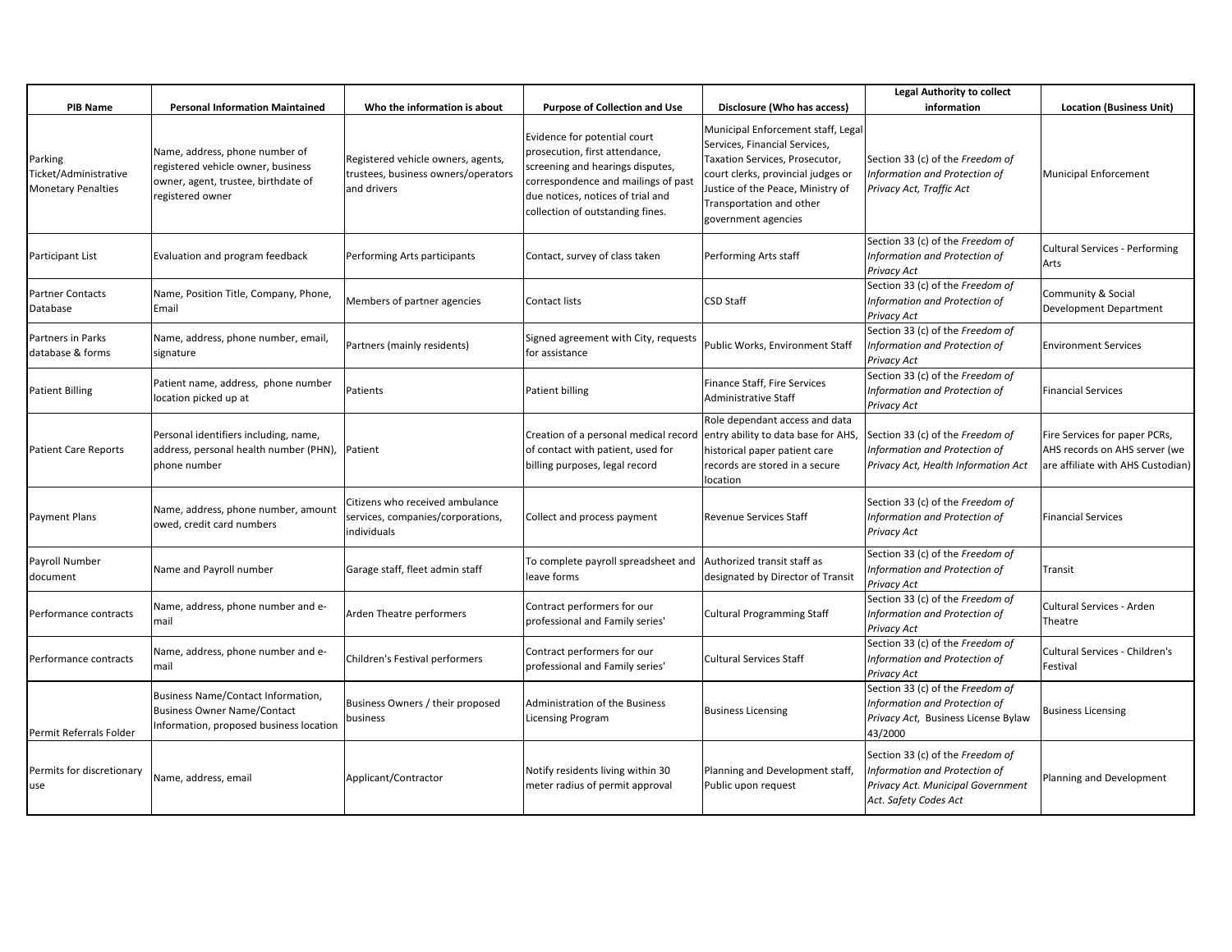| <b>PIB Name</b>                                               | <b>Personal Information Maintained</b>                                                                                          | Who the information is about                                                             | <b>Purpose of Collection and Use</b>                                                                                                                                                                               | Disclosure (Who has access)                                                                                                                                                                                                         | <b>Legal Authority to collect</b><br>information                                                                                | <b>Location (Business Unit)</b>                                                                     |
|---------------------------------------------------------------|---------------------------------------------------------------------------------------------------------------------------------|------------------------------------------------------------------------------------------|--------------------------------------------------------------------------------------------------------------------------------------------------------------------------------------------------------------------|-------------------------------------------------------------------------------------------------------------------------------------------------------------------------------------------------------------------------------------|---------------------------------------------------------------------------------------------------------------------------------|-----------------------------------------------------------------------------------------------------|
| Parking<br>Ticket/Administrative<br><b>Monetary Penalties</b> | Name, address, phone number of<br>registered vehicle owner, business<br>owner, agent, trustee, birthdate of<br>registered owner | Registered vehicle owners, agents,<br>trustees, business owners/operators<br>and drivers | Evidence for potential court<br>prosecution, first attendance,<br>screening and hearings disputes,<br>correspondence and mailings of past<br>due notices, notices of trial and<br>collection of outstanding fines. | Municipal Enforcement staff, Legal<br>Services, Financial Services,<br>Taxation Services, Prosecutor,<br>court clerks, provincial judges or<br>Justice of the Peace, Ministry of<br>Transportation and other<br>government agencies | Section 33 (c) of the Freedom of<br>Information and Protection of<br>Privacy Act, Traffic Act                                   | <b>Municipal Enforcement</b>                                                                        |
| Participant List                                              | Evaluation and program feedback                                                                                                 | Performing Arts participants                                                             | Contact, survey of class taken                                                                                                                                                                                     | Performing Arts staff                                                                                                                                                                                                               | Section 33 (c) of the Freedom of<br>Information and Protection of<br>Privacy Act                                                | <b>Cultural Services - Performing</b><br>Arts                                                       |
| <b>Partner Contacts</b><br>Database                           | Name, Position Title, Company, Phone,<br>Email                                                                                  | Members of partner agencies                                                              | Contact lists                                                                                                                                                                                                      | <b>CSD Staff</b>                                                                                                                                                                                                                    | Section 33 (c) of the Freedom of<br>Information and Protection of<br>Privacy Act                                                | Community & Social<br>Development Department                                                        |
| Partners in Parks<br>database & forms                         | Name, address, phone number, email,<br>signature                                                                                | Partners (mainly residents)                                                              | Signed agreement with City, requests<br>for assistance                                                                                                                                                             | Public Works, Environment Staff                                                                                                                                                                                                     | Section 33 (c) of the Freedom of<br>Information and Protection of<br>Privacy Act                                                | <b>Environment Services</b>                                                                         |
| <b>Patient Billing</b>                                        | Patient name, address, phone number<br>location picked up at                                                                    | Patients                                                                                 | Patient billing                                                                                                                                                                                                    | Finance Staff, Fire Services<br>Administrative Staff                                                                                                                                                                                | Section 33 (c) of the Freedom of<br>Information and Protection of<br>Privacy Act                                                | <b>Financial Services</b>                                                                           |
| <b>Patient Care Reports</b>                                   | Personal identifiers including, name,<br>address, personal health number (PHN),<br>phone number                                 | Patient                                                                                  | Creation of a personal medical record<br>of contact with patient, used for<br>billing purposes, legal record                                                                                                       | Role dependant access and data<br>entry ability to data base for AHS,<br>historical paper patient care<br>records are stored in a secure<br>location                                                                                | Section 33 (c) of the Freedom of<br>Information and Protection of<br>Privacy Act, Health Information Act                        | Fire Services for paper PCRs,<br>AHS records on AHS server (we<br>are affiliate with AHS Custodian) |
| <b>Payment Plans</b>                                          | Name, address, phone number, amount<br>owed, credit card numbers                                                                | Citizens who received ambulance<br>services, companies/corporations,<br>individuals      | Collect and process payment                                                                                                                                                                                        | Revenue Services Staff                                                                                                                                                                                                              | Section 33 (c) of the Freedom of<br>Information and Protection of<br><b>Privacy Act</b>                                         | <b>Financial Services</b>                                                                           |
| Payroll Number<br>document                                    | Name and Payroll number                                                                                                         | Garage staff, fleet admin staff                                                          | To complete payroll spreadsheet and<br>leave forms                                                                                                                                                                 | Authorized transit staff as<br>designated by Director of Transit                                                                                                                                                                    | Section 33 (c) of the Freedom of<br>Information and Protection of<br><b>Privacy Act</b>                                         | Transit                                                                                             |
| Performance contracts                                         | Name, address, phone number and e-<br>mail                                                                                      | Arden Theatre performers                                                                 | Contract performers for our<br>professional and Family series'                                                                                                                                                     | <b>Cultural Programming Staff</b>                                                                                                                                                                                                   | Section 33 (c) of the Freedom of<br>Information and Protection of<br><b>Privacy Act</b>                                         | Cultural Services - Arden<br>Theatre                                                                |
| Performance contracts                                         | Name, address, phone number and e-<br>mail                                                                                      | Children's Festival performers                                                           | Contract performers for our<br>professional and Family series'                                                                                                                                                     | <b>Cultural Services Staff</b>                                                                                                                                                                                                      | Section 33 (c) of the Freedom of<br>Information and Protection of<br><b>Privacy Act</b>                                         | Cultural Services - Children's<br>Festival                                                          |
| Permit Referrals Folder                                       | Business Name/Contact Information,<br><b>Business Owner Name/Contact</b><br>Information, proposed business location             | Business Owners / their proposed<br>business                                             | Administration of the Business<br><b>Licensing Program</b>                                                                                                                                                         | <b>Business Licensing</b>                                                                                                                                                                                                           | Section 33 (c) of the Freedom of<br>Information and Protection of<br>Privacy Act, Business License Bylaw<br>43/2000             | <b>Business Licensing</b>                                                                           |
| Permits for discretionary<br>use                              | Name, address, email                                                                                                            | Applicant/Contractor                                                                     | Notify residents living within 30<br>meter radius of permit approval                                                                                                                                               | Planning and Development staff,<br>Public upon request                                                                                                                                                                              | Section 33 (c) of the Freedom of<br>Information and Protection of<br>Privacy Act. Municipal Government<br>Act. Safety Codes Act | Planning and Development                                                                            |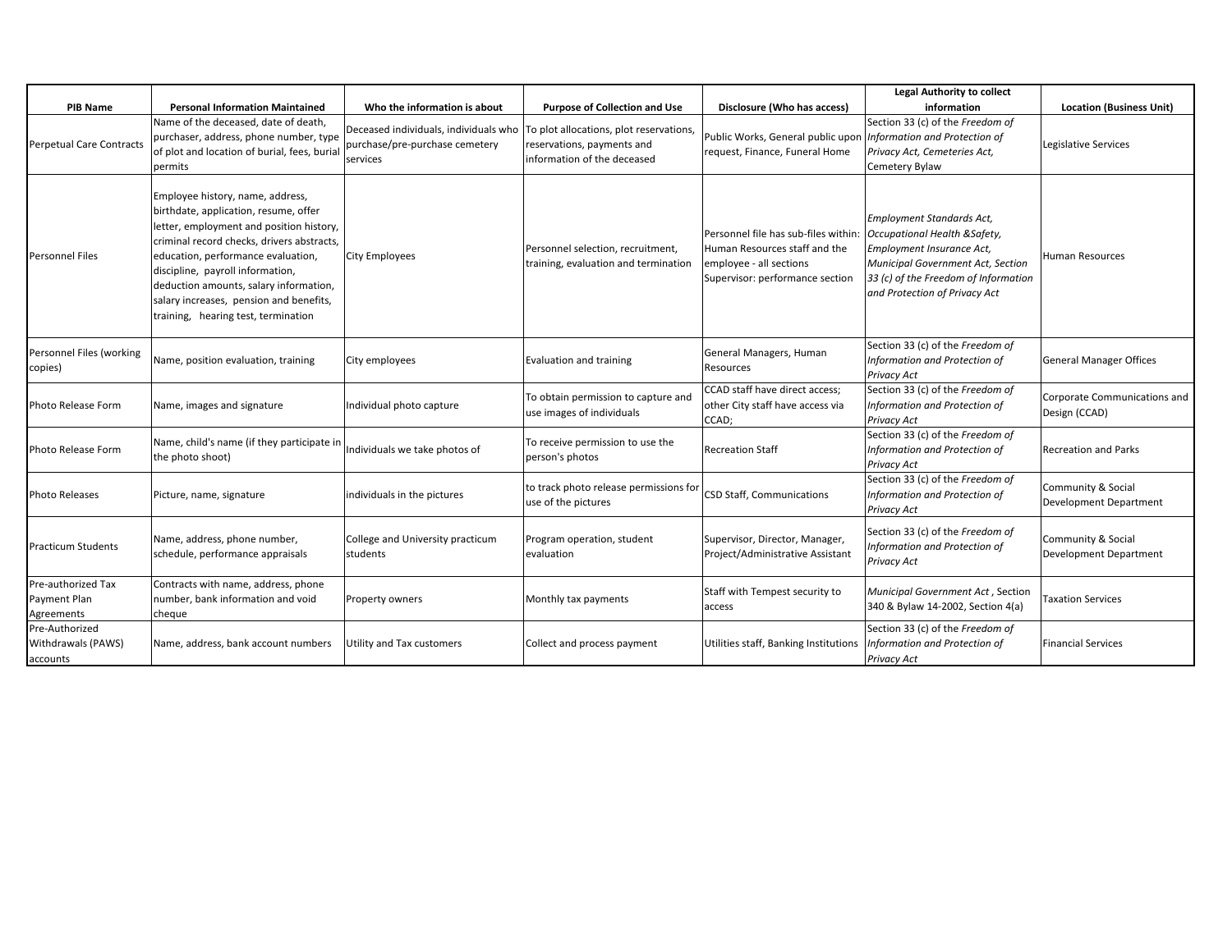|                                                  |                                                                                                                                                                                                                                                                                                                                                                           |                                                                                                                              |                                                                           |                                                                                                                                     | <b>Legal Authority to collect</b>                                                                                                                                                                     |                                               |
|--------------------------------------------------|---------------------------------------------------------------------------------------------------------------------------------------------------------------------------------------------------------------------------------------------------------------------------------------------------------------------------------------------------------------------------|------------------------------------------------------------------------------------------------------------------------------|---------------------------------------------------------------------------|-------------------------------------------------------------------------------------------------------------------------------------|-------------------------------------------------------------------------------------------------------------------------------------------------------------------------------------------------------|-----------------------------------------------|
| <b>PIB Name</b>                                  | <b>Personal Information Maintained</b>                                                                                                                                                                                                                                                                                                                                    | Who the information is about                                                                                                 | <b>Purpose of Collection and Use</b>                                      | Disclosure (Who has access)                                                                                                         | information                                                                                                                                                                                           | <b>Location (Business Unit)</b>               |
| <b>Perpetual Care Contracts</b>                  | Name of the deceased, date of death,<br>purchaser, address, phone number, type<br>of plot and location of burial, fees, burial<br>permits                                                                                                                                                                                                                                 | Deceased individuals, individuals who  To plot allocations, plot reservations,<br>purchase/pre-purchase cemetery<br>services | reservations, payments and<br>information of the deceased                 | Public Works, General public upon<br>request, Finance, Funeral Home                                                                 | Section 33 (c) of the Freedom of<br>Information and Protection of<br>Privacy Act, Cemeteries Act,<br>Cemetery Bylaw                                                                                   | Legislative Services                          |
| <b>Personnel Files</b>                           | Employee history, name, address,<br>birthdate, application, resume, offer<br>letter, employment and position history,<br>criminal record checks, drivers abstracts,<br>education, performance evaluation,<br>discipline, payroll information,<br>deduction amounts, salary information,<br>salary increases, pension and benefits,<br>training, hearing test, termination | City Employees                                                                                                               | Personnel selection, recruitment,<br>training, evaluation and termination | Personnel file has sub-files within:<br>Human Resources staff and the<br>employee - all sections<br>Supervisor: performance section | Employment Standards Act,<br>Occupational Health & Safety,<br>Employment Insurance Act,<br>Municipal Government Act, Section<br>33 (c) of the Freedom of Information<br>and Protection of Privacy Act | Human Resources                               |
| Personnel Files (working<br>copies)              | Name, position evaluation, training                                                                                                                                                                                                                                                                                                                                       | City employees                                                                                                               | <b>Evaluation and training</b>                                            | General Managers, Human<br>Resources                                                                                                | Section 33 (c) of the Freedom of<br>Information and Protection of<br>Privacy Act                                                                                                                      | General Manager Offices                       |
| Photo Release Form                               | Name, images and signature                                                                                                                                                                                                                                                                                                                                                | Individual photo capture                                                                                                     | To obtain permission to capture and<br>use images of individuals          | CCAD staff have direct access;<br>other City staff have access via<br>CCAD;                                                         | Section 33 (c) of the Freedom of<br>Information and Protection of<br>Privacy Act                                                                                                                      | Corporate Communications and<br>Design (CCAD) |
| Photo Release Form                               | Name, child's name (if they participate in<br>the photo shoot)                                                                                                                                                                                                                                                                                                            | Individuals we take photos of                                                                                                | To receive permission to use the<br>person's photos                       | <b>Recreation Staff</b>                                                                                                             | Section 33 (c) of the Freedom of<br>Information and Protection of<br>Privacy Act                                                                                                                      | <b>Recreation and Parks</b>                   |
| <b>Photo Releases</b>                            | Picture, name, signature                                                                                                                                                                                                                                                                                                                                                  | individuals in the pictures                                                                                                  | to track photo release permissions for<br>use of the pictures             | CSD Staff, Communications                                                                                                           | Section 33 (c) of the Freedom of<br>Information and Protection of<br>Privacy Act                                                                                                                      | Community & Social<br>Development Department  |
| <b>Practicum Students</b>                        | Name, address, phone number,<br>schedule, performance appraisals                                                                                                                                                                                                                                                                                                          | College and University practicum<br>students                                                                                 | Program operation, student<br>evaluation                                  | Supervisor, Director, Manager,<br>Project/Administrative Assistant                                                                  | Section 33 (c) of the Freedom of<br>Information and Protection of<br>Privacy Act                                                                                                                      | Community & Social<br>Development Department  |
| Pre-authorized Tax<br>Payment Plan<br>Agreements | Contracts with name, address, phone<br>number, bank information and void<br>cheque                                                                                                                                                                                                                                                                                        | Property owners                                                                                                              | Monthly tax payments                                                      | Staff with Tempest security to<br>access                                                                                            | Municipal Government Act, Section<br>340 & Bylaw 14-2002, Section 4(a)                                                                                                                                | <b>Taxation Services</b>                      |
| Pre-Authorized<br>Withdrawals (PAWS)<br>accounts | Name, address, bank account numbers                                                                                                                                                                                                                                                                                                                                       | Utility and Tax customers                                                                                                    | Collect and process payment                                               | Utilities staff, Banking Institutions                                                                                               | Section 33 (c) of the Freedom of<br>Information and Protection of<br>Privacy Act                                                                                                                      | <b>Financial Services</b>                     |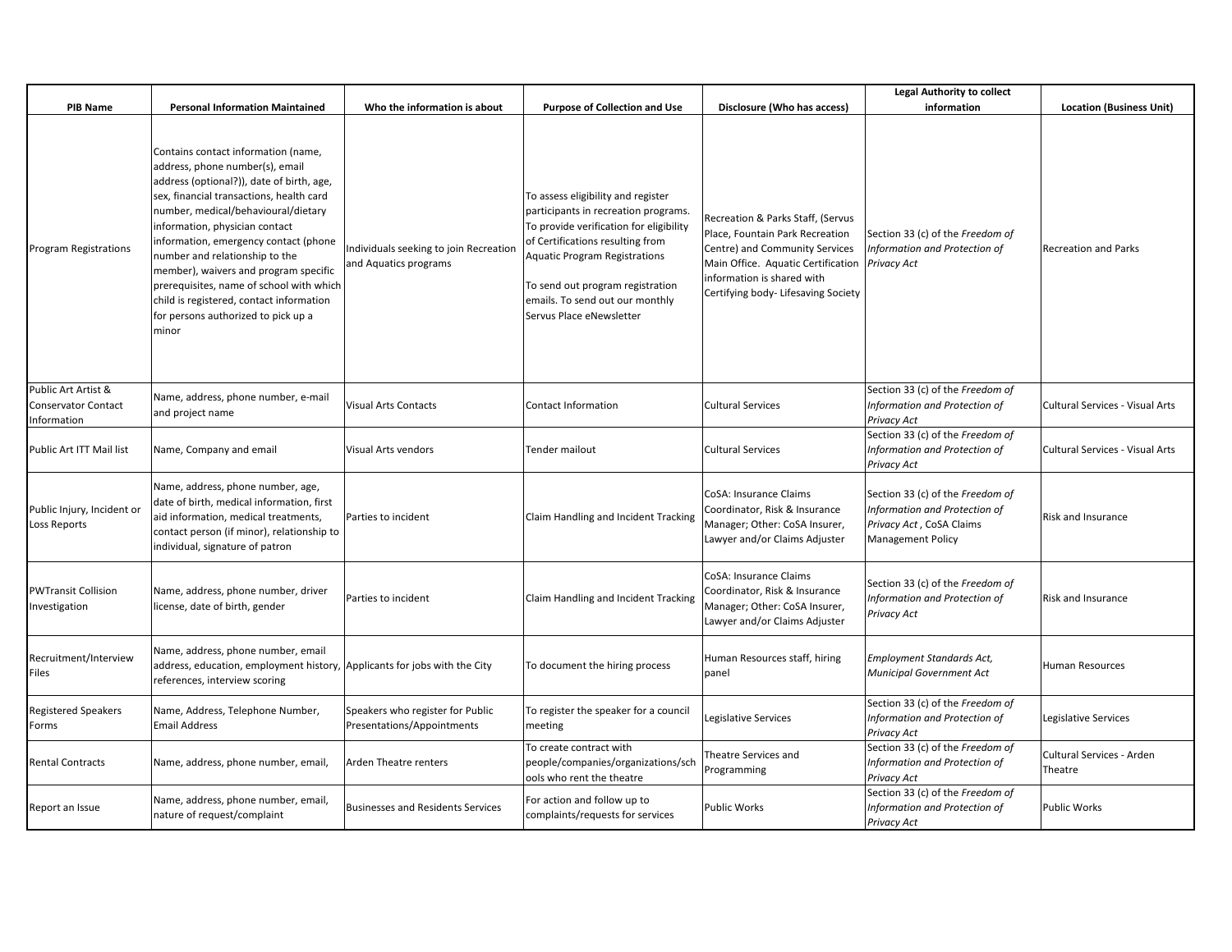|                                                          |                                                                                                                                                                                                                                                                                                                                                                                                                                                                                                      |                                                                 |                                                                                                                                                                                                                                                                                                      |                                                                                                                                                                                                                   | <b>Legal Authority to collect</b>                                                                                         |                                      |
|----------------------------------------------------------|------------------------------------------------------------------------------------------------------------------------------------------------------------------------------------------------------------------------------------------------------------------------------------------------------------------------------------------------------------------------------------------------------------------------------------------------------------------------------------------------------|-----------------------------------------------------------------|------------------------------------------------------------------------------------------------------------------------------------------------------------------------------------------------------------------------------------------------------------------------------------------------------|-------------------------------------------------------------------------------------------------------------------------------------------------------------------------------------------------------------------|---------------------------------------------------------------------------------------------------------------------------|--------------------------------------|
| <b>PIB Name</b>                                          | <b>Personal Information Maintained</b>                                                                                                                                                                                                                                                                                                                                                                                                                                                               | Who the information is about                                    | <b>Purpose of Collection and Use</b>                                                                                                                                                                                                                                                                 | Disclosure (Who has access)                                                                                                                                                                                       | information                                                                                                               | <b>Location (Business Unit)</b>      |
| Program Registrations                                    | Contains contact information (name,<br>address, phone number(s), email<br>address (optional?)), date of birth, age,<br>sex, financial transactions, health card<br>number, medical/behavioural/dietary<br>information, physician contact<br>information, emergency contact (phone<br>number and relationship to the<br>member), waivers and program specific<br>prerequisites, name of school with which<br>child is registered, contact information<br>for persons authorized to pick up a<br>minor | Individuals seeking to join Recreation<br>and Aquatics programs | To assess eligibility and register<br>participants in recreation programs.<br>To provide verification for eligibility<br>of Certifications resulting from<br><b>Aquatic Program Registrations</b><br>To send out program registration<br>emails. To send out our monthly<br>Servus Place eNewsletter | Recreation & Parks Staff, (Servus<br>Place, Fountain Park Recreation<br>Centre) and Community Services<br>Main Office. Aquatic Certification<br>information is shared with<br>Certifying body- Lifesaving Society | Section 33 (c) of the Freedom of<br>Information and Protection of<br>Privacy Act                                          | <b>Recreation and Parks</b>          |
| Public Art Artist &<br>Conservator Contact<br>nformation | Name, address, phone number, e-mail<br>and project name                                                                                                                                                                                                                                                                                                                                                                                                                                              | <b>Visual Arts Contacts</b>                                     | Contact Information                                                                                                                                                                                                                                                                                  | <b>Cultural Services</b>                                                                                                                                                                                          | Section 33 (c) of the Freedom of<br>Information and Protection of<br>Privacy Act                                          | Cultural Services - Visual Arts      |
| Public Art ITT Mail list                                 | Name, Company and email                                                                                                                                                                                                                                                                                                                                                                                                                                                                              | Visual Arts vendors                                             | Tender mailout                                                                                                                                                                                                                                                                                       | <b>Cultural Services</b>                                                                                                                                                                                          | Section 33 (c) of the Freedom of<br>Information and Protection of<br>Privacy Act                                          | Cultural Services - Visual Arts      |
| Public Injury, Incident or<br>Loss Reports               | Name, address, phone number, age,<br>date of birth, medical information, first<br>aid information, medical treatments,<br>contact person (if minor), relationship to<br>individual, signature of patron                                                                                                                                                                                                                                                                                              | Parties to incident                                             | Claim Handling and Incident Tracking                                                                                                                                                                                                                                                                 | CoSA: Insurance Claims<br>Coordinator, Risk & Insurance<br>Manager; Other: CoSA Insurer,<br>Lawyer and/or Claims Adjuster                                                                                         | Section 33 (c) of the Freedom of<br>Information and Protection of<br>Privacy Act, CoSA Claims<br><b>Management Policy</b> | Risk and Insurance                   |
| PWTransit Collision<br>nvestigation                      | Name, address, phone number, driver<br>license, date of birth, gender                                                                                                                                                                                                                                                                                                                                                                                                                                | Parties to incident                                             | Claim Handling and Incident Tracking                                                                                                                                                                                                                                                                 | CoSA: Insurance Claims<br>Coordinator, Risk & Insurance<br>Manager; Other: CoSA Insurer,<br>Lawyer and/or Claims Adjuster                                                                                         | Section 33 (c) of the Freedom of<br>Information and Protection of<br>Privacy Act                                          | <b>Risk and Insurance</b>            |
| Recruitment/Interview<br>Files                           | Name, address, phone number, email<br>address, education, employment history, Applicants for jobs with the City<br>references, interview scoring                                                                                                                                                                                                                                                                                                                                                     |                                                                 | To document the hiring process                                                                                                                                                                                                                                                                       | Human Resources staff, hiring<br>panel                                                                                                                                                                            | Employment Standards Act,<br>Municipal Government Act                                                                     | Human Resources                      |
| Registered Speakers<br>Forms                             | Name, Address, Telephone Number,<br><b>Email Address</b>                                                                                                                                                                                                                                                                                                                                                                                                                                             | Speakers who register for Public<br>Presentations/Appointments  | To register the speaker for a council<br>meeting                                                                                                                                                                                                                                                     | Legislative Services                                                                                                                                                                                              | Section 33 (c) of the Freedom of<br>Information and Protection of<br>Privacy Act                                          | Legislative Services                 |
| Rental Contracts                                         | Name, address, phone number, email,                                                                                                                                                                                                                                                                                                                                                                                                                                                                  | Arden Theatre renters                                           | To create contract with<br>people/companies/organizations/sch<br>ools who rent the theatre                                                                                                                                                                                                           | Theatre Services and<br>Programming                                                                                                                                                                               | Section 33 (c) of the Freedom of<br>Information and Protection of<br>Privacy Act                                          | Cultural Services - Arden<br>Theatre |
| Report an Issue                                          | Name, address, phone number, email,<br>nature of request/complaint                                                                                                                                                                                                                                                                                                                                                                                                                                   | <b>Businesses and Residents Services</b>                        | For action and follow up to<br>complaints/requests for services                                                                                                                                                                                                                                      | <b>Public Works</b>                                                                                                                                                                                               | Section 33 (c) of the Freedom of<br>Information and Protection of<br>Privacy Act                                          | Public Works                         |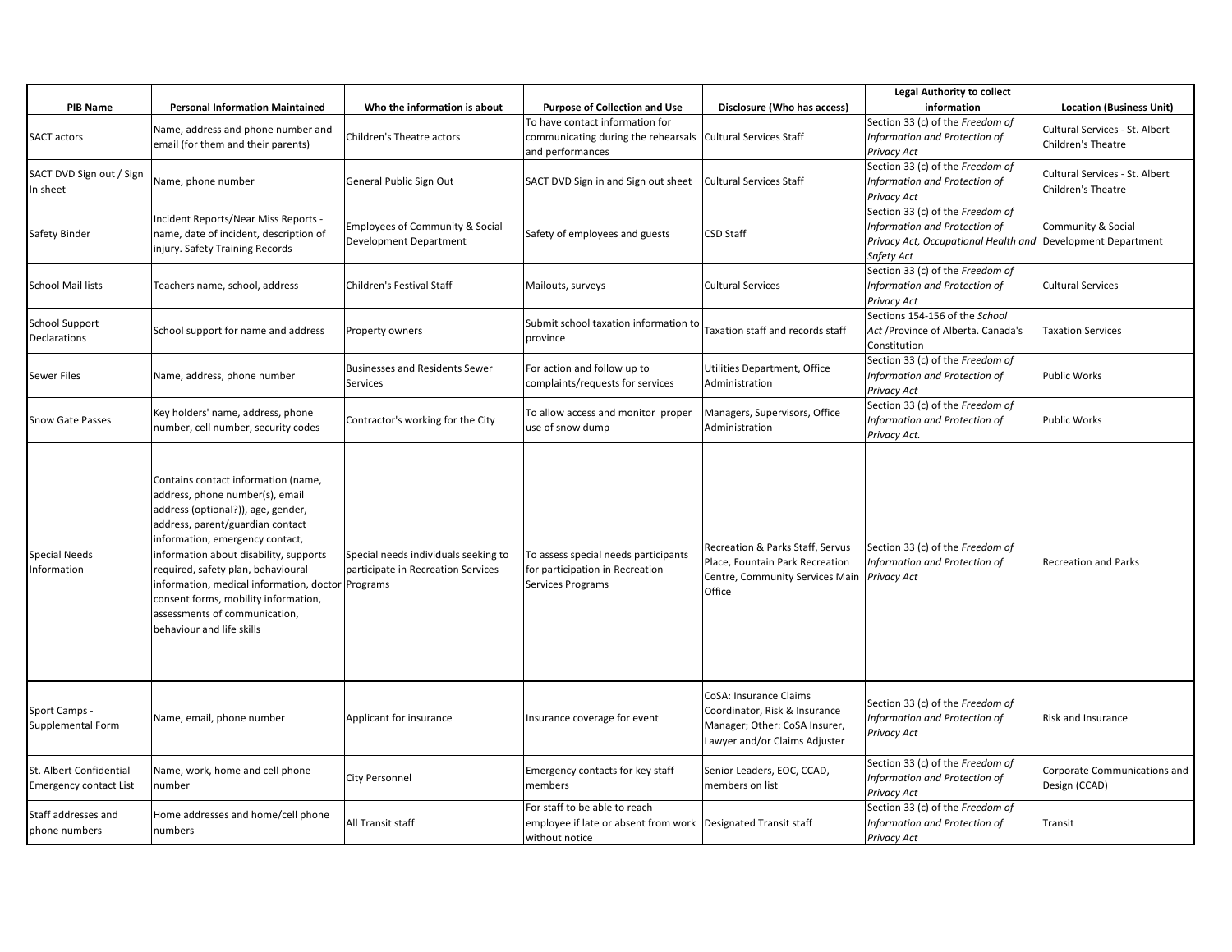|                                                          |                                                                                                                                                                                                                                                                                                                                                                                                                                |                                                                            |                                                                                                                    |                                                                                                                           | <b>Legal Authority to collect</b>                                                                                                              |                                                      |
|----------------------------------------------------------|--------------------------------------------------------------------------------------------------------------------------------------------------------------------------------------------------------------------------------------------------------------------------------------------------------------------------------------------------------------------------------------------------------------------------------|----------------------------------------------------------------------------|--------------------------------------------------------------------------------------------------------------------|---------------------------------------------------------------------------------------------------------------------------|------------------------------------------------------------------------------------------------------------------------------------------------|------------------------------------------------------|
| <b>PIB Name</b>                                          | <b>Personal Information Maintained</b>                                                                                                                                                                                                                                                                                                                                                                                         | Who the information is about                                               | <b>Purpose of Collection and Use</b>                                                                               | Disclosure (Who has access)                                                                                               | information                                                                                                                                    | <b>Location (Business Unit)</b>                      |
| SACT actors                                              | Name, address and phone number and<br>email (for them and their parents)                                                                                                                                                                                                                                                                                                                                                       | Children's Theatre actors                                                  | To have contact information for<br>communicating during the rehearsals<br>and performances                         | <b>Cultural Services Staff</b>                                                                                            | Section 33 (c) of the Freedom of<br>Information and Protection of<br>Privacy Act                                                               | Cultural Services - St. Albert<br>Children's Theatre |
| SACT DVD Sign out / Sign<br>n sheet                      | Name, phone number                                                                                                                                                                                                                                                                                                                                                                                                             | General Public Sign Out                                                    | SACT DVD Sign in and Sign out sheet                                                                                | <b>Cultural Services Staff</b>                                                                                            | Section 33 (c) of the Freedom of<br>Information and Protection of<br>Privacy Act                                                               | Cultural Services - St. Albert<br>Children's Theatre |
| Safety Binder                                            | Incident Reports/Near Miss Reports -<br>name, date of incident, description of<br>injury. Safety Training Records                                                                                                                                                                                                                                                                                                              | <b>Employees of Community &amp; Social</b><br>Development Department       | Safety of employees and guests                                                                                     | <b>CSD Staff</b>                                                                                                          | Section 33 (c) of the Freedom of<br>Information and Protection of<br>Privacy Act, Occupational Health and Development Department<br>Safety Act | Community & Social                                   |
| <b>School Mail lists</b>                                 | Teachers name, school, address                                                                                                                                                                                                                                                                                                                                                                                                 | Children's Festival Staff                                                  | Mailouts, surveys                                                                                                  | <b>Cultural Services</b>                                                                                                  | Section 33 (c) of the Freedom of<br>Information and Protection of<br>Privacy Act                                                               | <b>Cultural Services</b>                             |
| School Support<br>Declarations                           | School support for name and address                                                                                                                                                                                                                                                                                                                                                                                            | Property owners                                                            | Submit school taxation information to<br>province                                                                  | Taxation staff and records staff                                                                                          | Sections 154-156 of the School<br>Act / Province of Alberta. Canada's<br>Constitution                                                          | <b>Taxation Services</b>                             |
| Sewer Files                                              | Name, address, phone number                                                                                                                                                                                                                                                                                                                                                                                                    | <b>Businesses and Residents Sewer</b><br>Services                          | For action and follow up to<br>complaints/requests for services                                                    | Utilities Department, Office<br>Administration                                                                            | Section 33 (c) of the Freedom of<br>Information and Protection of<br>Privacy Act                                                               | <b>Public Works</b>                                  |
| <b>Snow Gate Passes</b>                                  | Key holders' name, address, phone<br>number, cell number, security codes                                                                                                                                                                                                                                                                                                                                                       | Contractor's working for the City                                          | To allow access and monitor proper<br>use of snow dump                                                             | Managers, Supervisors, Office<br>Administration                                                                           | Section 33 (c) of the Freedom of<br>Information and Protection of<br>Privacy Act.                                                              | <b>Public Works</b>                                  |
| <b>Special Needs</b><br>Information                      | Contains contact information (name,<br>address, phone number(s), email<br>address (optional?)), age, gender,<br>address, parent/guardian contact<br>information, emergency contact,<br>information about disability, supports<br>required, safety plan, behavioural<br>information, medical information, doctor Programs<br>consent forms, mobility information,<br>assessments of communication,<br>behaviour and life skills | Special needs individuals seeking to<br>participate in Recreation Services | To assess special needs participants<br>for participation in Recreation<br><b>Services Programs</b>                | Recreation & Parks Staff, Servus<br>Place, Fountain Park Recreation<br>Centre, Community Services Main<br>Office          | Section 33 (c) of the Freedom of<br>Information and Protection of<br><b>Privacy Act</b>                                                        | Recreation and Parks                                 |
| Sport Camps -<br>Supplemental Form                       | Name, email, phone number                                                                                                                                                                                                                                                                                                                                                                                                      | Applicant for insurance                                                    | Insurance coverage for event                                                                                       | CoSA: Insurance Claims<br>Coordinator, Risk & Insurance<br>Manager; Other: CoSA Insurer,<br>Lawyer and/or Claims Adjuster | Section 33 (c) of the Freedom of<br>Information and Protection of<br>Privacy Act                                                               | Risk and Insurance                                   |
| St. Albert Confidential<br><b>Emergency contact List</b> | Name, work, home and cell phone<br>number                                                                                                                                                                                                                                                                                                                                                                                      | City Personnel                                                             | Emergency contacts for key staff<br>members                                                                        | Senior Leaders, EOC, CCAD,<br>members on list                                                                             | Section 33 (c) of the Freedom of<br>Information and Protection of<br>Privacy Act                                                               | Corporate Communications and<br>Design (CCAD)        |
| Staff addresses and<br>phone numbers                     | Home addresses and home/cell phone<br>numbers                                                                                                                                                                                                                                                                                                                                                                                  | All Transit staff                                                          | For staff to be able to reach<br>employee if late or absent from work   Designated Transit staff<br>without notice |                                                                                                                           | Section 33 (c) of the Freedom of<br>Information and Protection of<br>Privacy Act                                                               | Transit                                              |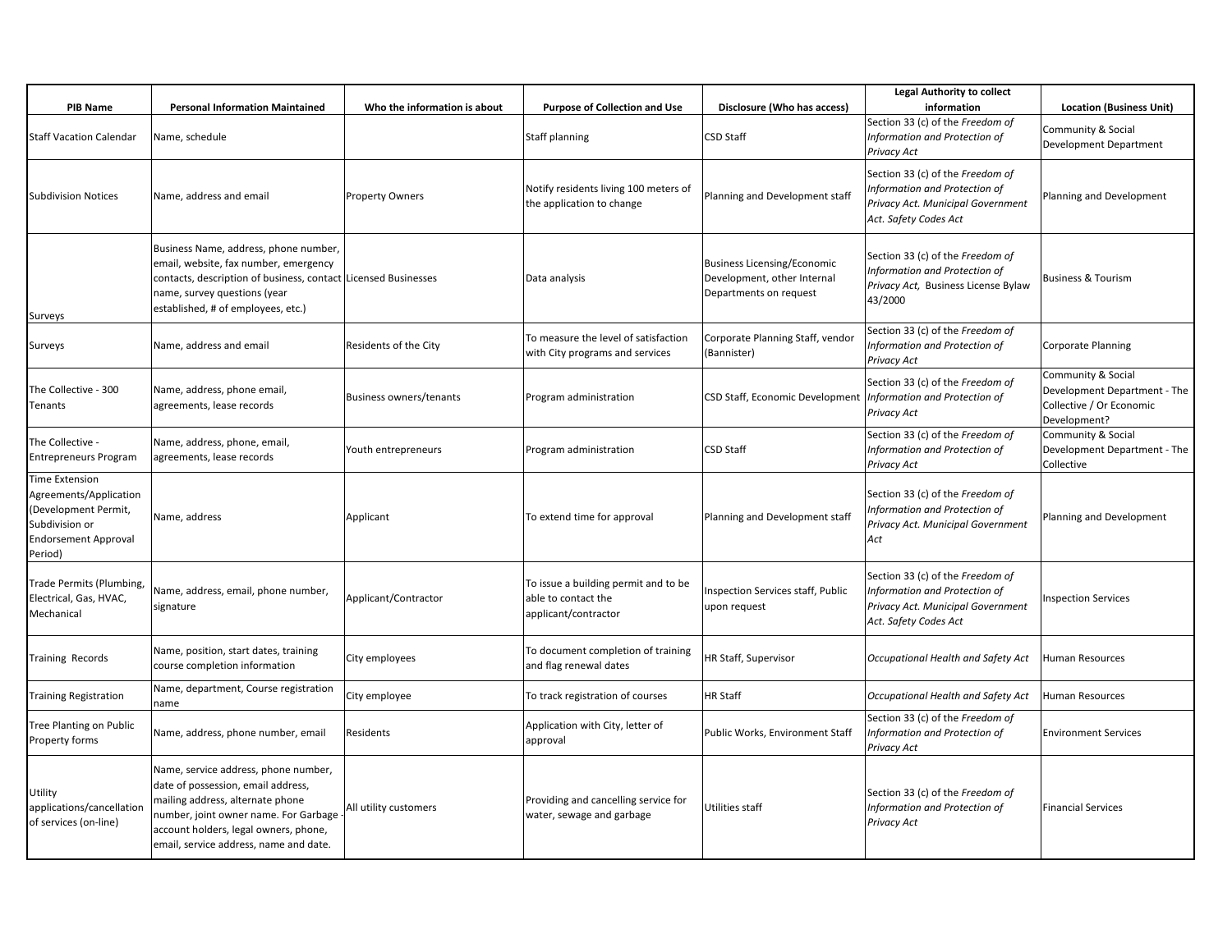| <b>PIB Name</b>                                                                                                              | <b>Personal Information Maintained</b>                                                                                                                                                                                                     | Who the information is about | <b>Purpose of Collection and Use</b>                                                | Disclosure (Who has access)                                                                 | <b>Legal Authority to collect</b><br>information                                                                                | <b>Location (Business Unit)</b>                                                                |
|------------------------------------------------------------------------------------------------------------------------------|--------------------------------------------------------------------------------------------------------------------------------------------------------------------------------------------------------------------------------------------|------------------------------|-------------------------------------------------------------------------------------|---------------------------------------------------------------------------------------------|---------------------------------------------------------------------------------------------------------------------------------|------------------------------------------------------------------------------------------------|
| <b>Staff Vacation Calendar</b>                                                                                               | Name, schedule                                                                                                                                                                                                                             |                              | <b>Staff planning</b>                                                               | <b>CSD Staff</b>                                                                            | Section 33 (c) of the Freedom of<br>Information and Protection of<br>Privacy Act                                                | Community & Social<br>Development Department                                                   |
| <b>Subdivision Notices</b>                                                                                                   | Name, address and email                                                                                                                                                                                                                    | <b>Property Owners</b>       | Notify residents living 100 meters of<br>the application to change                  | Planning and Development staff                                                              | Section 33 (c) of the Freedom of<br>Information and Protection of<br>Privacy Act. Municipal Government<br>Act. Safety Codes Act | Planning and Development                                                                       |
| Surveys                                                                                                                      | Business Name, address, phone number,<br>email, website, fax number, emergency<br>contacts, description of business, contact Licensed Businesses<br>name, survey questions (year<br>established, # of employees, etc.)                     |                              | Data analysis                                                                       | <b>Business Licensing/Economic</b><br>Development, other Internal<br>Departments on request | Section 33 (c) of the Freedom of<br>Information and Protection of<br>Privacy Act, Business License Bylaw<br>43/2000             | <b>Business &amp; Tourism</b>                                                                  |
| Surveys                                                                                                                      | Name, address and email                                                                                                                                                                                                                    | Residents of the City        | To measure the level of satisfaction<br>with City programs and services             | Corporate Planning Staff, vendor<br>(Bannister)                                             | Section 33 (c) of the Freedom of<br>Information and Protection of<br>Privacy Act                                                | <b>Corporate Planning</b>                                                                      |
| The Collective - 300<br>Tenants                                                                                              | Name, address, phone email,<br>agreements, lease records                                                                                                                                                                                   | Business owners/tenants      | Program administration                                                              | CSD Staff, Economic Development   Information and Protection of                             | Section 33 (c) of the Freedom of<br>Privacy Act                                                                                 | Community & Social<br>Development Department - The<br>Collective / Or Economic<br>Development? |
| The Collective -<br><b>Entrepreneurs Program</b>                                                                             | Name, address, phone, email,<br>agreements, lease records                                                                                                                                                                                  | Youth entrepreneurs          | Program administration                                                              | <b>CSD Staff</b>                                                                            | Section 33 (c) of the Freedom of<br>Information and Protection of<br>Privacy Act                                                | Community & Social<br>Development Department - The<br>Collective                               |
| Time Extension<br>Agreements/Application<br>(Development Permit,<br>Subdivision or<br><b>Endorsement Approval</b><br>Period) | Name, address                                                                                                                                                                                                                              | Applicant                    | To extend time for approval                                                         | Planning and Development staff                                                              | Section 33 (c) of the Freedom of<br>Information and Protection of<br>Privacy Act. Municipal Government<br>Act                   | Planning and Development                                                                       |
| Trade Permits (Plumbing,<br>Electrical, Gas, HVAC,<br>Mechanical                                                             | Name, address, email, phone number,<br>signature                                                                                                                                                                                           | Applicant/Contractor         | To issue a building permit and to be<br>able to contact the<br>applicant/contractor | <b>Inspection Services staff, Public</b><br>upon request                                    | Section 33 (c) of the Freedom of<br>Information and Protection of<br>Privacy Act. Municipal Government<br>Act. Safety Codes Act | <b>Inspection Services</b>                                                                     |
| Training Records                                                                                                             | Name, position, start dates, training<br>course completion information                                                                                                                                                                     | City employees               | To document completion of training<br>and flag renewal dates                        | HR Staff, Supervisor                                                                        | Occupational Health and Safety Act                                                                                              | <b>Human Resources</b>                                                                         |
| <b>Training Registration</b>                                                                                                 | Name, department, Course registration<br>name                                                                                                                                                                                              | City employee                | To track registration of courses                                                    | <b>HR Staff</b>                                                                             | Occupational Health and Safety Act                                                                                              | Human Resources                                                                                |
| Tree Planting on Public<br>Property forms                                                                                    | Name, address, phone number, email                                                                                                                                                                                                         | Residents                    | Application with City, letter of<br>approval                                        | Public Works, Environment Staff                                                             | Section 33 (c) of the Freedom of<br>Information and Protection of<br>Privacy Act                                                | <b>Environment Services</b>                                                                    |
| Utility<br>applications/cancellation<br>of services (on-line)                                                                | Name, service address, phone number,<br>date of possession, email address,<br>mailing address, alternate phone<br>number, joint owner name. For Garbage<br>account holders, legal owners, phone,<br>email, service address, name and date. | All utility customers        | Providing and cancelling service for<br>water, sewage and garbage                   | Utilities staff                                                                             | Section 33 (c) of the Freedom of<br>Information and Protection of<br>Privacy Act                                                | <b>Financial Services</b>                                                                      |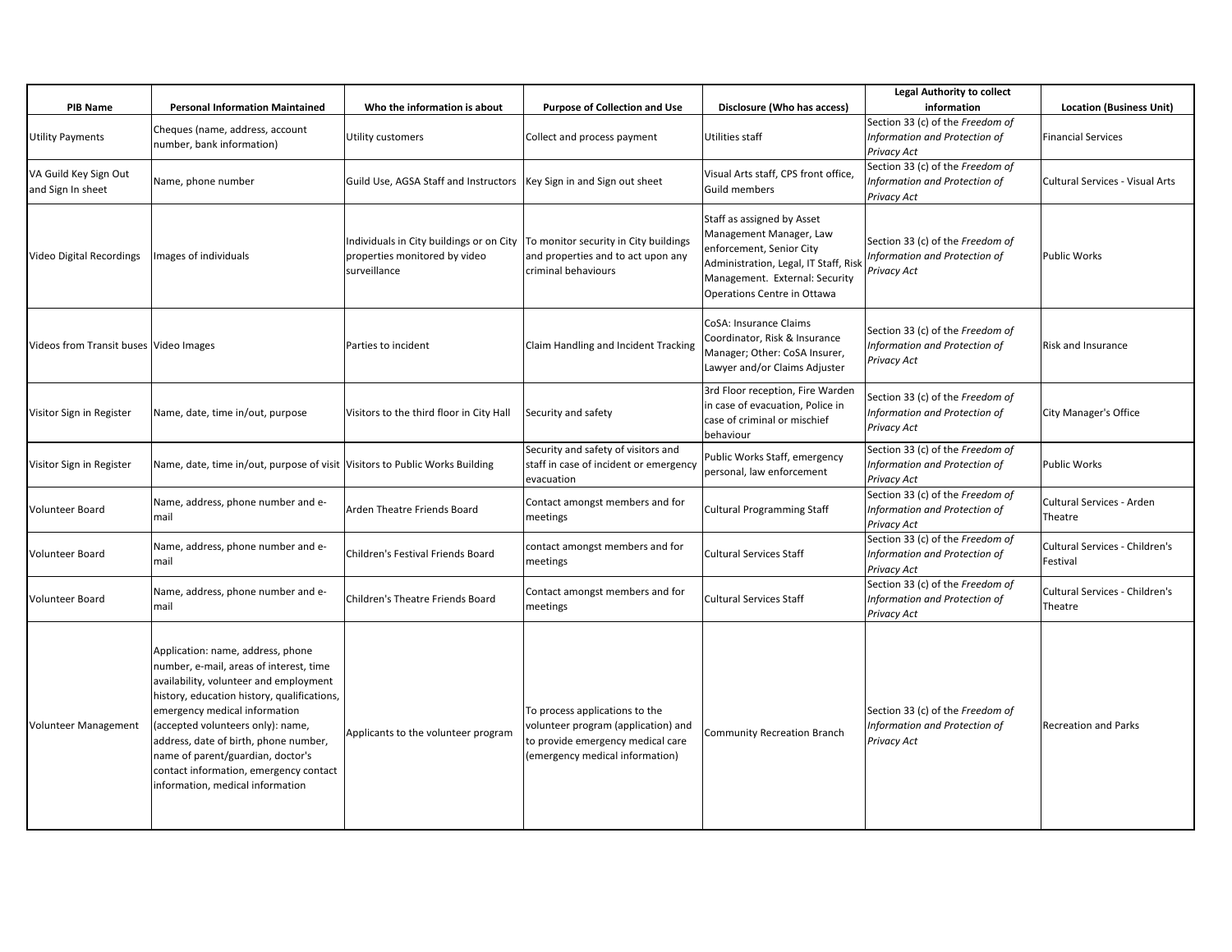|                                            |                                                                                                                                                                                                                                                                                                                                                                                                         |                                                                                                                                   |                                                                                                                                               |                                                                                                                                                                                             | <b>Legal Authority to collect</b>                                                |                                            |
|--------------------------------------------|---------------------------------------------------------------------------------------------------------------------------------------------------------------------------------------------------------------------------------------------------------------------------------------------------------------------------------------------------------------------------------------------------------|-----------------------------------------------------------------------------------------------------------------------------------|-----------------------------------------------------------------------------------------------------------------------------------------------|---------------------------------------------------------------------------------------------------------------------------------------------------------------------------------------------|----------------------------------------------------------------------------------|--------------------------------------------|
| <b>PIB Name</b>                            | <b>Personal Information Maintained</b>                                                                                                                                                                                                                                                                                                                                                                  | Who the information is about                                                                                                      | <b>Purpose of Collection and Use</b>                                                                                                          | Disclosure (Who has access)                                                                                                                                                                 | information                                                                      | <b>Location (Business Unit)</b>            |
| <b>Utility Payments</b>                    | Cheques (name, address, account<br>number, bank information)                                                                                                                                                                                                                                                                                                                                            | Utility customers                                                                                                                 | Collect and process payment                                                                                                                   | Utilities staff                                                                                                                                                                             | Section 33 (c) of the Freedom of<br>Information and Protection of<br>Privacy Act | <b>Financial Services</b>                  |
| VA Guild Key Sign Out<br>and Sign In sheet | Name, phone number                                                                                                                                                                                                                                                                                                                                                                                      | Guild Use, AGSA Staff and Instructors   Key Sign in and Sign out sheet                                                            |                                                                                                                                               | Visual Arts staff, CPS front office,<br><b>Guild members</b>                                                                                                                                | Section 33 (c) of the Freedom of<br>Information and Protection of<br>Privacy Act | Cultural Services - Visual Arts            |
| Video Digital Recordings                   | Images of individuals                                                                                                                                                                                                                                                                                                                                                                                   | Individuals in City buildings or on City   To monitor security in City buildings<br>properties monitored by video<br>surveillance | and properties and to act upon any<br>criminal behaviours                                                                                     | Staff as assigned by Asset<br>Management Manager, Law<br>enforcement, Senior City<br>Administration, Legal, IT Staff, Risk<br>Management. External: Security<br>Operations Centre in Ottawa | Section 33 (c) of the Freedom of<br>Information and Protection of<br>Privacy Act | Public Works                               |
| Videos from Transit buses Video Images     |                                                                                                                                                                                                                                                                                                                                                                                                         | Parties to incident                                                                                                               | Claim Handling and Incident Tracking                                                                                                          | CoSA: Insurance Claims<br>Coordinator, Risk & Insurance<br>Manager; Other: CoSA Insurer,<br>Lawyer and/or Claims Adjuster                                                                   | Section 33 (c) of the Freedom of<br>Information and Protection of<br>Privacy Act | <b>Risk and Insurance</b>                  |
| Visitor Sign in Register                   | Name, date, time in/out, purpose                                                                                                                                                                                                                                                                                                                                                                        | Visitors to the third floor in City Hall                                                                                          | Security and safety                                                                                                                           | 3rd Floor reception, Fire Warden<br>in case of evacuation, Police in<br>case of criminal or mischief<br>behaviour                                                                           | Section 33 (c) of the Freedom of<br>Information and Protection of<br>Privacy Act | City Manager's Office                      |
| Visitor Sign in Register                   | Name, date, time in/out, purpose of visit Visitors to Public Works Building                                                                                                                                                                                                                                                                                                                             |                                                                                                                                   | Security and safety of visitors and<br>staff in case of incident or emergency<br>evacuation                                                   | Public Works Staff, emergency<br>personal, law enforcement                                                                                                                                  | Section 33 (c) of the Freedom of<br>Information and Protection of<br>Privacy Act | Public Works                               |
| Volunteer Board                            | Name, address, phone number and e-<br>mail                                                                                                                                                                                                                                                                                                                                                              | Arden Theatre Friends Board                                                                                                       | Contact amongst members and for<br>meetings                                                                                                   | <b>Cultural Programming Staff</b>                                                                                                                                                           | Section 33 (c) of the Freedom of<br>Information and Protection of<br>Privacy Act | Cultural Services - Arden<br>Theatre       |
| Volunteer Board                            | Name, address, phone number and e-<br>mail                                                                                                                                                                                                                                                                                                                                                              | Children's Festival Friends Board                                                                                                 | contact amongst members and for<br>meetings                                                                                                   | <b>Cultural Services Staff</b>                                                                                                                                                              | Section 33 (c) of the Freedom of<br>Information and Protection of<br>Privacy Act | Cultural Services - Children's<br>Festival |
| <b>Volunteer Board</b>                     | Name, address, phone number and e-<br>mail                                                                                                                                                                                                                                                                                                                                                              | Children's Theatre Friends Board                                                                                                  | Contact amongst members and for<br>meetings                                                                                                   | <b>Cultural Services Staff</b>                                                                                                                                                              | Section 33 (c) of the Freedom of<br>Information and Protection of<br>Privacy Act | Cultural Services - Children's<br>Theatre  |
| <b>Volunteer Management</b>                | Application: name, address, phone<br>number, e-mail, areas of interest, time<br>availability, volunteer and employment<br>history, education history, qualifications,<br>emergency medical information<br>(accepted volunteers only): name,<br>address, date of birth, phone number,<br>name of parent/guardian, doctor's<br>contact information, emergency contact<br>information, medical information | Applicants to the volunteer program                                                                                               | To process applications to the<br>volunteer program (application) and<br>to provide emergency medical care<br>(emergency medical information) | <b>Community Recreation Branch</b>                                                                                                                                                          | Section 33 (c) of the Freedom of<br>Information and Protection of<br>Privacy Act | <b>Recreation and Parks</b>                |